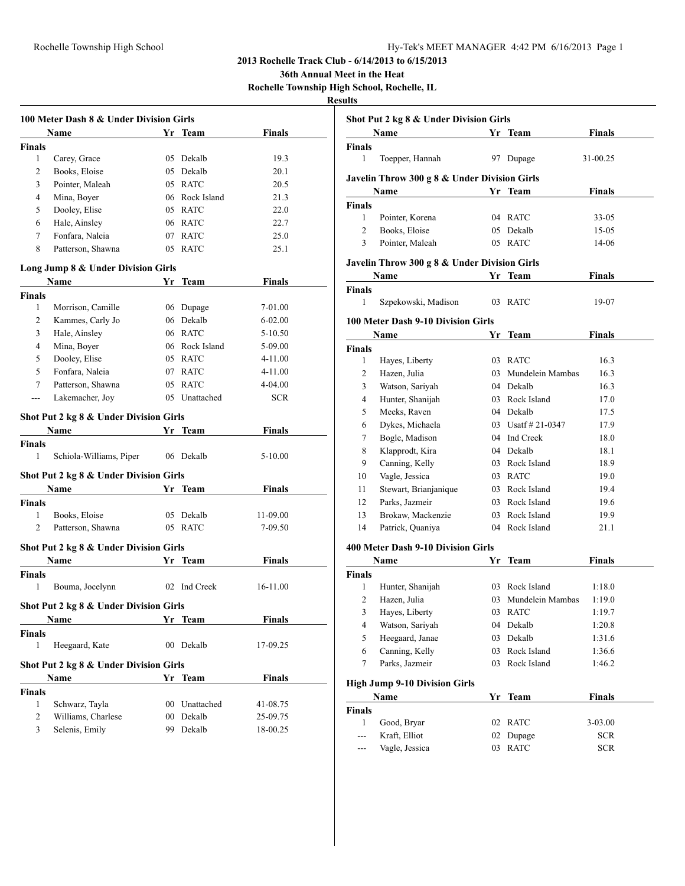**36th Annual Meet in the Heat**

**Rochelle Township High School, Rochelle, IL**

|                | 100 Meter Dash 8 & Under Division Girls |                 |                |               |
|----------------|-----------------------------------------|-----------------|----------------|---------------|
|                | Name                                    |                 | Yr Team        | <b>Finals</b> |
| <b>Finals</b>  |                                         |                 |                |               |
| 1              | Carey, Grace                            |                 | 05 Dekalb      | 19.3          |
| $\overline{c}$ | Books, Eloise                           |                 | 05 Dekalb      | 20.1          |
| 3              | Pointer, Maleah                         |                 | 05 RATC        | 20.5          |
| 4              | Mina, Boyer                             |                 | 06 Rock Island | 21.3          |
| 5              | Dooley, Elise                           |                 | 05 RATC        | 22.0          |
| 6              | Hale, Ainsley                           |                 | 06 RATC        | 22.7          |
| 7              | Fonfara, Naleia                         |                 | 07 RATC        | 25.0          |
| 8              | Patterson, Shawna                       |                 | 05 RATC        | 25.1          |
|                | Long Jump 8 & Under Division Girls      |                 |                |               |
|                | Name                                    |                 | Yr Team        | <b>Finals</b> |
| Finals         |                                         |                 |                |               |
| 1              | Morrison, Camille                       |                 | 06 Dupage      | 7-01.00       |
| 2              | Kammes, Carly Jo                        |                 | 06 Dekalb      | $6 - 02.00$   |
| 3              | Hale, Ainsley                           |                 | 06 RATC        | $5 - 10.50$   |
| 4              | Mina, Boyer                             |                 | 06 Rock Island | 5-09.00       |
| 5              | Dooley, Elise                           |                 | 05 RATC        | $4 - 11.00$   |
| 5              | Fonfara, Naleia                         |                 | 07 RATC        | $4 - 11.00$   |
| 7              | Patterson, Shawna                       |                 | 05 RATC        | 4-04.00       |
| $ -$           | Lakemacher, Joy                         |                 | 05 Unattached  | <b>SCR</b>    |
|                | Shot Put 2 kg 8 & Under Division Girls  |                 |                |               |
|                | <b>Name</b>                             |                 | Yr Team        | Finals        |
| <b>Finals</b>  |                                         |                 |                |               |
| 1              | Schiola-Williams, Piper                 |                 | 06 Dekalb      | $5 - 10.00$   |
|                | Shot Put 2 kg 8 & Under Division Girls  |                 |                |               |
|                | Name                                    |                 | Yr Team        | <b>Finals</b> |
| <b>Finals</b>  |                                         |                 |                |               |
| 1              | Books, Eloise                           |                 | 05 Dekalb      | 11-09.00      |
| 2              | Patterson, Shawna                       |                 | 05 RATC        | 7-09.50       |
|                | Shot Put 2 kg 8 & Under Division Girls  |                 |                |               |
|                | Name                                    |                 | Yr_Team        | Finals        |
| <b>Finals</b>  |                                         |                 |                |               |
| 1              | Bouma, Jocelynn                         |                 | 02 Ind Creek   | 16-11.00      |
|                | Shot Put 2 kg 8 & Under Division Girls  |                 |                |               |
|                | <b>Name</b>                             |                 | Yr Team        | <b>Finals</b> |
| <b>Finals</b>  |                                         |                 |                |               |
| $\mathbf{1}$   | Heegaard, Kate                          | 00              | Dekalb         | 17-09.25      |
|                | Shot Put 2 kg 8 & Under Division Girls  |                 |                |               |
|                | Name                                    |                 | Yr Team        | <b>Finals</b> |
| Finals         |                                         |                 |                |               |
| 1              | Schwarz, Tayla                          | 00 <sup>1</sup> | Unattached     | 41-08.75      |
| 2              | Williams, Charlese                      | 00              | Dekalb         | 25-09.75      |
| 3              | Selenis, Emily                          | 99              | Dekalb         | 18-00.25      |

| Shot Put 2 kg 8 & Under Division Girls       |                                              |    |                       |               |  |  |  |  |
|----------------------------------------------|----------------------------------------------|----|-----------------------|---------------|--|--|--|--|
|                                              | Name                                         |    | Yr Team               | <b>Finals</b> |  |  |  |  |
| Finals                                       |                                              |    |                       |               |  |  |  |  |
| 1                                            | Toepper, Hannah                              | 97 | Dupage                | 31-00.25      |  |  |  |  |
|                                              | Javelin Throw 300 g 8 & Under Division Girls |    |                       |               |  |  |  |  |
|                                              | Name                                         |    | Yr Team               | <b>Finals</b> |  |  |  |  |
| Finals                                       |                                              |    |                       |               |  |  |  |  |
| 1                                            | Pointer, Korena                              |    | 04 RATC               | 33-05         |  |  |  |  |
| 2                                            | Books, Eloise                                |    | 05 Dekalb             | 15-05         |  |  |  |  |
| 3                                            | Pointer, Maleah                              | 05 | <b>RATC</b>           | 14-06         |  |  |  |  |
| Javelin Throw 300 g 8 & Under Division Girls |                                              |    |                       |               |  |  |  |  |
|                                              | Name                                         | Yr | Team                  | <b>Finals</b> |  |  |  |  |
| Finals                                       |                                              |    |                       |               |  |  |  |  |
| 1                                            | Szpekowski, Madison                          | 03 | <b>RATC</b>           | 19-07         |  |  |  |  |
|                                              | <b>100 Meter Dash 9-10 Division Girls</b>    |    |                       |               |  |  |  |  |
|                                              | Name                                         | Yr | Team                  | Finals        |  |  |  |  |
| Finals                                       |                                              |    |                       |               |  |  |  |  |
| 1                                            | Hayes, Liberty                               | 03 | <b>RATC</b>           | 16.3          |  |  |  |  |
| 2                                            | Hazen, Julia                                 | 03 | Mundelein Mambas      | 16.3          |  |  |  |  |
| 3                                            | Watson, Sariyah                              |    | 04 Dekalb             | 16.3          |  |  |  |  |
| 4                                            | Hunter, Shanijah                             |    | 03 Rock Island        | 17.0          |  |  |  |  |
| 5                                            | Meeks, Raven                                 |    | 04 Dekalb             | 17.5          |  |  |  |  |
| 6                                            | Dykes, Michaela                              |    | 03 Usatf $\#$ 21-0347 | 17.9          |  |  |  |  |
| 7                                            | Bogle, Madison                               |    | 04 Ind Creek          | 18.0          |  |  |  |  |
| 8                                            | Klapprodt, Kira                              |    | 04 Dekalb             | 18.1          |  |  |  |  |
| 9                                            | Canning, Kelly                               |    | 03 Rock Island        | 18.9          |  |  |  |  |
| 10                                           | Vagle, Jessica                               |    | 03 RATC               | 19.0          |  |  |  |  |
| 11                                           | Stewart, Brianjanique                        |    | 03 Rock Island        | 19.4          |  |  |  |  |
| 12                                           | Parks, Jazmeir                               |    | 03 Rock Island        | 19.6          |  |  |  |  |
| 13                                           | Brokaw, Mackenzie                            |    | 03 Rock Island        | 19.9          |  |  |  |  |
| 14                                           | Patrick, Quaniya                             | 04 | Rock Island           | 21.1          |  |  |  |  |
|                                              | 400 Meter Dash 9-10 Division Girls           |    |                       |               |  |  |  |  |
|                                              | Name                                         | Yr | Team                  | Finals        |  |  |  |  |
| Finals                                       |                                              |    |                       |               |  |  |  |  |
| 1                                            | Hunter, Shanijah                             |    | 03 Rock Island        | 1:18.0        |  |  |  |  |
| 2                                            | Hazen, Julia                                 |    | 03 Mundelein Mambas   | 1:19.0        |  |  |  |  |
| 3                                            | Hayes, Liberty                               | 03 | <b>RATC</b>           | 1:19.7        |  |  |  |  |
| 4                                            | Watson, Sariyah                              |    | 04 Dekalb             | 1:20.8        |  |  |  |  |
| 5                                            | Heegaard, Janae                              | 03 | Dekalb                | 1:31.6        |  |  |  |  |
| 6                                            | Canning, Kelly                               | 03 | Rock Island           | 1:36.6        |  |  |  |  |
| $\tau$                                       | Parks, Jazmeir                               | 03 | Rock Island           | 1:46.2        |  |  |  |  |
|                                              | <b>High Jump 9-10 Division Girls</b>         |    |                       |               |  |  |  |  |
|                                              | Name                                         | Yr | <b>Team</b>           | <b>Finals</b> |  |  |  |  |
| <b>Finals</b>                                |                                              |    |                       |               |  |  |  |  |
| 1                                            | Good, Bryar                                  | 02 | <b>RATC</b>           | $3 - 03.00$   |  |  |  |  |
| ---                                          | Kraft, Elliot                                | 02 | Dupage                | <b>SCR</b>    |  |  |  |  |
| ---                                          | Vagle, Jessica                               | 03 | <b>RATC</b>           | <b>SCR</b>    |  |  |  |  |
|                                              |                                              |    |                       |               |  |  |  |  |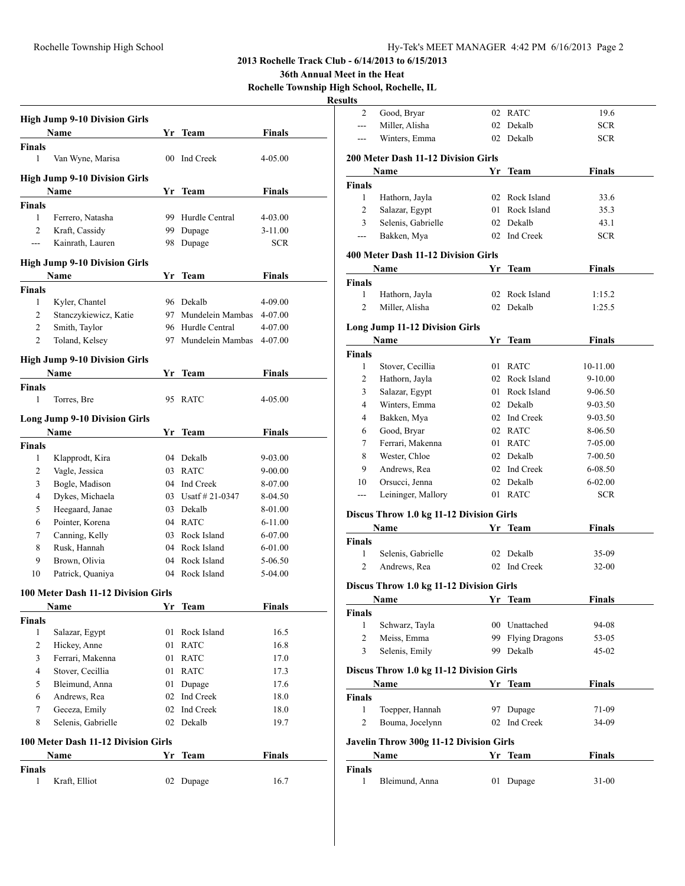**36th Annual Meet in the Heat**

**Rochelle Township High School, Rochelle, IL**

|                | <b>High Jump 9-10 Division Girls</b> |    |                              |               |
|----------------|--------------------------------------|----|------------------------------|---------------|
|                | Name                                 | Yr | Team                         | <b>Finals</b> |
| <b>Finals</b>  |                                      |    |                              |               |
| 1              | Van Wyne, Marisa                     | 00 | Ind Creek                    | 4-05.00       |
|                | <b>High Jump 9-10 Division Girls</b> |    |                              |               |
|                | Name                                 | Yr | Team                         | Finals        |
| Finals         |                                      |    |                              |               |
| 1              | Ferrero, Natasha                     | 99 | Hurdle Central               | 4-03.00       |
| 2              | Kraft, Cassidy                       | 99 | Dupage                       | $3 - 11.00$   |
| $\overline{a}$ | Kainrath, Lauren                     | 98 | Dupage                       | <b>SCR</b>    |
|                | <b>High Jump 9-10 Division Girls</b> |    |                              |               |
|                | Name                                 | Yr | Team                         | <b>Finals</b> |
| Finals         |                                      |    |                              |               |
| 1              | Kyler, Chantel                       |    | 96 Dekalb                    | 4-09.00       |
| 2              | Stanczykiewicz, Katie                |    | 97 Mundelein Mambas          | 4-07.00       |
| 2              | Smith, Taylor                        |    | 96 Hurdle Central            | 4-07.00       |
| 2              | Toland, Kelsey                       | 97 | Mundelein Mambas             | 4-07.00       |
|                | <b>High Jump 9-10 Division Girls</b> |    |                              |               |
|                | <b>Name</b>                          | Yr | Team                         | <b>Finals</b> |
| <b>Finals</b>  |                                      |    |                              |               |
| 1              | Torres, Bre                          | 95 | <b>RATC</b>                  | 4-05.00       |
|                | <b>Long Jump 9-10 Division Girls</b> |    |                              |               |
|                | Name                                 | Yr | Team                         | Finals        |
| <b>Finals</b>  |                                      |    |                              |               |
| 1              | Klapprodt, Kira                      | 04 | Dekalb                       | 9-03.00       |
| $\mathbf{2}$   | Vagle, Jessica                       | 03 | <b>RATC</b>                  | 9-00.00       |
| 3              | Bogle, Madison                       |    | 04 Ind Creek                 | 8-07.00       |
| 4              | Dykes, Michaela                      |    | 03 Usatf # 21-0347           | 8-04.50       |
| 5              | Heegaard, Janae                      | 03 | Dekalb                       | 8-01.00       |
| 6              | Pointer, Korena                      |    | 04 RATC                      | $6 - 11.00$   |
| 7              | Canning, Kelly                       | 03 | Rock Island                  | 6-07.00       |
| 8              | Rusk, Hannah                         | 04 | Rock Island                  | 6-01.00       |
| 9              | Brown, Olivia                        | 04 | Rock Island                  | 5-06.50       |
| 10             | Patrick, Quaniya                     | 04 | Rock Island                  | 5-04.00       |
|                |                                      |    |                              |               |
|                | 100 Meter Dash 11-12 Division Girls  |    |                              |               |
|                | Name                                 | Yr | <b>Team</b>                  | <b>Finals</b> |
| <b>Finals</b>  |                                      |    |                              |               |
| 1              | Salazar, Egypt                       | 01 | Rock Island                  | 16.5          |
| $\mathbf{2}$   | Hickey, Anne                         | 01 | <b>RATC</b>                  | 16.8          |
| 3              | Ferrari, Makenna                     | 01 | $\ensuremath{\mathsf{RATC}}$ | 17.0          |
| 4              | Stover, Cecillia                     | 01 | <b>RATC</b>                  | 17.3          |
| 5              | Bleimund, Anna                       | 01 | Dupage                       | 17.6          |
| 6              | Andrews, Rea                         | 02 | Ind Creek                    | 18.0          |
| 7              | Geceza, Emily                        |    | 02 Ind Creek                 | 18.0          |
| 8              | Selenis, Gabrielle                   | 02 | Dekalb                       | 19.7          |
|                | 100 Meter Dash 11-12 Division Girls  |    |                              |               |
|                | <b>Name</b>                          | Yr | <b>Team</b>                  | <b>Finals</b> |
| <b>Finals</b>  |                                      |    | Dupage                       |               |
| $\mathbf{1}$   |                                      |    |                              |               |

| ults                                               |                                          |    |                                    |                           |  |  |
|----------------------------------------------------|------------------------------------------|----|------------------------------------|---------------------------|--|--|
| 2                                                  | Good, Bryar                              |    | 02 RATC                            | 19.6                      |  |  |
| ---                                                | Miller, Alisha                           |    | 02 Dekalb                          | <b>SCR</b>                |  |  |
| ---                                                | Winters, Emma                            | 02 | Dekalb                             | SCR.                      |  |  |
|                                                    |                                          |    |                                    |                           |  |  |
|                                                    | 200 Meter Dash 11-12 Division Girls      |    |                                    |                           |  |  |
|                                                    | Name                                     | Yr | Team                               | <b>Finals</b>             |  |  |
| Finals                                             |                                          |    |                                    |                           |  |  |
| 1                                                  | Hathorn, Jayla                           | 02 | Rock Island                        | 33.6                      |  |  |
| 2<br>3                                             | Salazar, Egypt                           | 01 | Rock Island                        | 35.3                      |  |  |
|                                                    | Selenis, Gabrielle                       |    | 02 Dekalb                          | 43.1                      |  |  |
| ---                                                | Bakken, Mya                              |    | 02 Ind Creek                       | SCR.                      |  |  |
|                                                    | 400 Meter Dash 11-12 Division Girls      |    |                                    |                           |  |  |
|                                                    | Name                                     | Yr | Team                               | Finals                    |  |  |
| <b>Finals</b>                                      |                                          |    |                                    |                           |  |  |
| 1                                                  | Hathorn, Jayla                           | 02 | Rock Island                        | 1:15.2                    |  |  |
| $\overline{c}$                                     | Miller, Alisha                           | 02 | Dekalb                             | 1:25.5                    |  |  |
|                                                    |                                          |    |                                    |                           |  |  |
|                                                    | <b>Long Jump 11-12 Division Girls</b>    |    |                                    |                           |  |  |
|                                                    | Name                                     |    | Yr Team                            | <b>Finals</b>             |  |  |
| <b>Finals</b>                                      |                                          |    |                                    |                           |  |  |
| 1                                                  | Stover, Cecillia                         |    | 01 RATC<br>02 Rock Island          | 10-11.00                  |  |  |
| 2                                                  | Hathorn, Jayla                           |    | 01 Rock Island                     | $9-10.00$                 |  |  |
| 3<br>4                                             | Salazar, Egypt<br>Winters, Emma          |    | 02 Dekalb                          | 9-06.50                   |  |  |
| 4                                                  |                                          |    | 02 Ind Creek                       | 9-03.50                   |  |  |
|                                                    | Bakken, Mya                              |    |                                    | $9 - 03.50$               |  |  |
| 6                                                  | Good, Bryar                              |    | 02 RATC                            | 8-06.50                   |  |  |
| 7                                                  | Ferrari, Makenna                         |    | 01 RATC                            | 7-05.00                   |  |  |
| 8<br>9                                             | Wester, Chloe                            |    | 02 Dekalb<br>02 Ind Creek          | 7-00.50                   |  |  |
| 10                                                 | Andrews, Rea                             |    |                                    | 6-08.50                   |  |  |
| $---$                                              | Orsucci, Jenna<br>Leininger, Mallory     |    | 02 Dekalb<br>01 RATC               | $6 - 02.00$<br><b>SCR</b> |  |  |
|                                                    |                                          |    |                                    |                           |  |  |
|                                                    | Discus Throw 1.0 kg 11-12 Division Girls |    |                                    |                           |  |  |
|                                                    | Name                                     |    | Yr Team                            | <b>Finals</b>             |  |  |
| <b>Finals</b>                                      |                                          |    |                                    |                           |  |  |
| 1                                                  | Selenis, Gabrielle                       | 02 | Dekalb                             | 35-09                     |  |  |
| 2                                                  | Andrews, Rea                             | 02 | Ind Creek                          | 32-00                     |  |  |
|                                                    |                                          |    |                                    |                           |  |  |
|                                                    | Discus Throw 1.0 kg 11-12 Division Girls |    |                                    |                           |  |  |
|                                                    | Name                                     | Υr | Team                               | Finals                    |  |  |
| Finals                                             |                                          |    |                                    |                           |  |  |
| 1<br>$\overline{c}$                                | Schwarz, Tayla                           |    | 00 Unattached<br>99 Flying Dragons | 94-08                     |  |  |
| 3                                                  | Meiss, Emma                              |    | 99 Dekalb                          | 53-05                     |  |  |
|                                                    | Selenis, Emily                           |    |                                    | 45-02                     |  |  |
| Discus Throw 1.0 kg 11-12 Division Girls           |                                          |    |                                    |                           |  |  |
|                                                    | Name                                     |    | Yr Team                            | <b>Finals</b>             |  |  |
| <b>Finals</b>                                      |                                          |    |                                    |                           |  |  |
| $\mathbf{1}$                                       | Toepper, Hannah                          |    | 97 Dupage                          | 71-09                     |  |  |
| 2                                                  | Bouma, Jocelynn                          |    | 02 Ind Creek                       | 34-09                     |  |  |
|                                                    |                                          |    |                                    |                           |  |  |
| Javelin Throw 300g 11-12 Division Girls<br>Yr Team |                                          |    |                                    |                           |  |  |
|                                                    | Name                                     |    |                                    | <b>Finals</b>             |  |  |
| <b>Finals</b><br>1                                 |                                          |    |                                    |                           |  |  |
|                                                    | Bleimund, Anna                           | 01 | Dupage                             | $31 - 00$                 |  |  |
|                                                    |                                          |    |                                    |                           |  |  |
|                                                    |                                          |    |                                    |                           |  |  |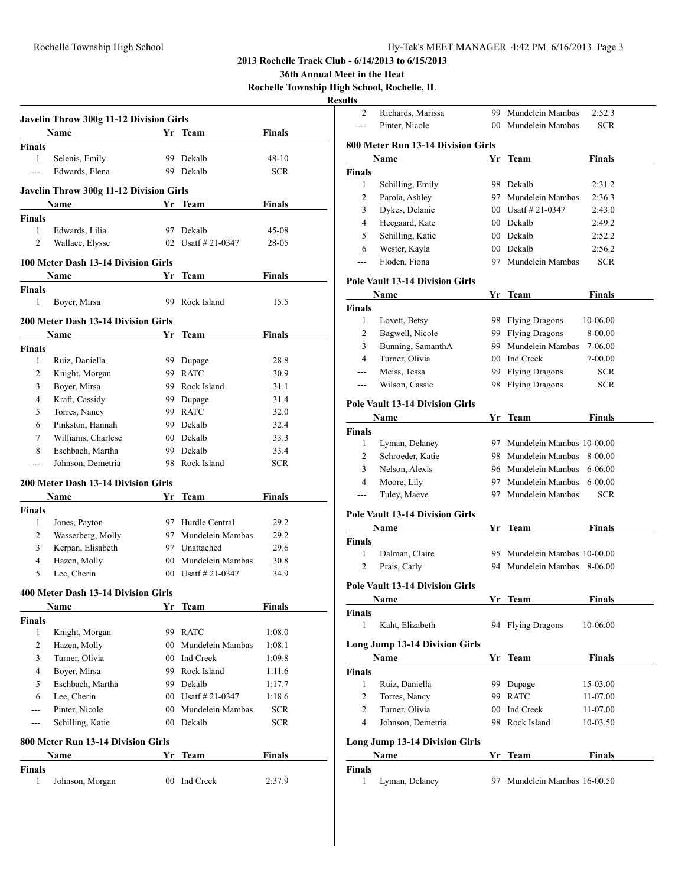**36th Annual Meet in the Heat**

**Rochelle Township High School, Rochelle, IL**

|                                     | Javelin Throw 300g 11-12 Division Girls    |                 |                       |               |  |  |  |
|-------------------------------------|--------------------------------------------|-----------------|-----------------------|---------------|--|--|--|
|                                     | Name                                       |                 | Yr Team               | Finals        |  |  |  |
| <b>Finals</b>                       |                                            |                 |                       |               |  |  |  |
| $\mathbf{1}$                        | Selenis, Emily                             | 99              | Dekalb                | $48 - 10$     |  |  |  |
| $\overline{a}$                      | Edwards, Elena                             | 99.             | Dekalb                | <b>SCR</b>    |  |  |  |
|                                     | Javelin Throw 300g 11-12 Division Girls    |                 |                       |               |  |  |  |
|                                     | Name                                       |                 | Yr Team               | Finals        |  |  |  |
| <b>Finals</b>                       |                                            |                 |                       |               |  |  |  |
| 1                                   | Edwards, Lilia                             | 97.             | Dekalb                | 45-08         |  |  |  |
| $\overline{2}$                      | Wallace, Elysse                            |                 | 02 Usatf $\#$ 21-0347 | 28-05         |  |  |  |
|                                     |                                            |                 |                       |               |  |  |  |
| 100 Meter Dash 13-14 Division Girls |                                            |                 |                       |               |  |  |  |
|                                     | Name                                       | Yr              | Team                  | Finals        |  |  |  |
| <b>Finals</b>                       |                                            |                 |                       |               |  |  |  |
| 1                                   | Boyer, Mirsa                               | 99              | Rock Island           | 15.5          |  |  |  |
|                                     | <b>200 Meter Dash 13-14 Division Girls</b> |                 |                       |               |  |  |  |
|                                     | <b>Name</b>                                | Yr              | <b>Team</b>           | <b>Finals</b> |  |  |  |
| <b>Finals</b>                       |                                            |                 |                       |               |  |  |  |
| 1                                   | Ruiz, Daniella                             |                 | 99 Dupage             | 28.8          |  |  |  |
| 2                                   | Knight, Morgan                             |                 | 99 RATC               | 30.9          |  |  |  |
| 3                                   | Boyer, Mirsa                               |                 | 99 Rock Island        | 31.1          |  |  |  |
| 4                                   | Kraft, Cassidy                             |                 | 99 Dupage             | 31.4          |  |  |  |
| 5                                   | Torres, Nancy                              |                 | 99 RATC               | 32.0          |  |  |  |
| 6                                   | Pinkston, Hannah                           |                 | 99 Dekalb             | 32.4          |  |  |  |
| 7                                   | Williams, Charlese                         |                 | 00 Dekalb             | 33.3          |  |  |  |
| 8                                   | Eschbach, Martha                           |                 | 99 Dekalb             | 33.4          |  |  |  |
| ---                                 | Johnson, Demetria                          |                 | 98 Rock Island        | <b>SCR</b>    |  |  |  |
|                                     |                                            |                 |                       |               |  |  |  |
|                                     | <b>200 Meter Dash 13-14 Division Girls</b> |                 |                       |               |  |  |  |
|                                     | Name                                       | Yr              | Team                  | <b>Finals</b> |  |  |  |
| <b>Finals</b>                       |                                            |                 |                       |               |  |  |  |
| 1                                   | Jones, Payton                              |                 | 97 Hurdle Central     | 29.2          |  |  |  |
| 2                                   | Wasserberg, Molly                          |                 | 97 Mundelein Mambas   | 29.2          |  |  |  |
| 3                                   | Kerpan, Elisabeth                          |                 | 97 Unattached         | 29.6          |  |  |  |
| 4                                   | Hazen, Molly                               |                 | 00 Mundelein Mambas   | 30.8          |  |  |  |
| 5                                   | Lee, Cherin                                | $00-$           | Usatf # 21-0347       | 34.9          |  |  |  |
|                                     | 400 Meter Dash 13-14 Division Girls        |                 |                       |               |  |  |  |
|                                     | <b>Name</b>                                | <u>Yr</u>       | <b>Team</b>           | Finals        |  |  |  |
| <b>Finals</b>                       |                                            |                 |                       |               |  |  |  |
| 1                                   | Knight, Morgan                             |                 | 99 RATC               | 1:08.0        |  |  |  |
| 2                                   | Hazen, Molly                               | 00 <sup>1</sup> | Mundelein Mambas      | 1:08.1        |  |  |  |
| 3                                   | Turner, Olivia                             |                 | 00 Ind Creek          | 1:09.8        |  |  |  |
| 4                                   | Boyer, Mirsa                               |                 | 99 Rock Island        | 1:11.6        |  |  |  |
| 5                                   | Eschbach, Martha                           |                 | 99 Dekalb             | 1:17.7        |  |  |  |
| 6                                   | Lee, Cherin                                |                 | 00 Usatf $\#$ 21-0347 | 1:18.6        |  |  |  |
| $\overline{a}$                      | Pinter, Nicole                             | $00\,$          | Mundelein Mambas      | <b>SCR</b>    |  |  |  |
| $\qquad \qquad -$                   | Schilling, Katie                           | 00 <sup>1</sup> | Dekalb                | <b>SCR</b>    |  |  |  |
|                                     |                                            |                 |                       |               |  |  |  |
|                                     | 800 Meter Run 13-14 Division Girls         |                 |                       |               |  |  |  |
|                                     | Name                                       | Yr              | <b>Team</b>           | <b>Finals</b> |  |  |  |
| <b>Finals</b>                       |                                            |                 |                       |               |  |  |  |
| 1                                   | Johnson, Morgan                            | 00              | Ind Creek             | 2:37.9        |  |  |  |
|                                     |                                            |                 |                       |               |  |  |  |

| llts           |                                                       |           |                              |               |
|----------------|-------------------------------------------------------|-----------|------------------------------|---------------|
| $\overline{2}$ | Richards, Marissa                                     |           | 99 Mundelein Mambas          | 2:52.3        |
| ---            | Pinter, Nicole                                        | $00\,$    | Mundelein Mambas             | SCR.          |
|                | 800 Meter Run 13-14 Division Girls                    |           |                              |               |
|                | Name                                                  | Yr        | Team                         | <b>Finals</b> |
| Finals         |                                                       |           |                              |               |
| 1              | Schilling, Emily                                      |           | 98 Dekalb                    | 2:31.2        |
| $\mathbf{2}$   | Parola, Ashley                                        |           | 97 Mundelein Mambas          | 2:36.3        |
| 3              | Dykes, Delanie                                        |           | 00 Usatf # 21-0347           | 2:43.0        |
| $\overline{4}$ | Heegaard, Kate                                        |           | 00 Dekalb                    | 2:49.2        |
| 5              | Schilling, Katie                                      |           | 00 Dekalb                    | 2:52.2        |
| 6              | Wester, Kayla                                         |           | 00 Dekalb                    | 2:56.2        |
| ---            | Floden, Fiona                                         | 97        | Mundelein Mambas             | <b>SCR</b>    |
|                | <b>Pole Vault 13-14 Division Girls</b>                |           |                              |               |
|                | Name                                                  |           | Yr Team                      | Finals        |
| Finals         |                                                       |           |                              |               |
| 1              | Lovett, Betsy                                         | 98        | <b>Flying Dragons</b>        | 10-06.00      |
| 2              | Bagwell, Nicole                                       |           | 99 Flying Dragons            | 8-00.00       |
| 3              | Bunning, SamanthA                                     |           | 99 Mundelein Mambas          | 7-06.00       |
| $\overline{4}$ | Turner, Olivia                                        |           | 00 Ind Creek                 | 7-00.00       |
| ---            | Meiss, Tessa                                          |           | 99 Flying Dragons            | <b>SCR</b>    |
| ---            | Wilson, Cassie                                        | 98        | <b>Flying Dragons</b>        | SCR           |
|                | Pole Vault 13-14 Division Girls                       |           |                              |               |
|                | Name                                                  |           | Yr Team                      | Finals        |
| Finals         |                                                       |           |                              |               |
| 1              | Lyman, Delaney                                        |           | 97 Mundelein Mambas 10-00.00 |               |
| 2              | Schroeder, Katie                                      |           | 98 Mundelein Mambas          | 8-00.00       |
| 3              | Nelson, Alexis                                        |           | 96 Mundelein Mambas          | 6-06.00       |
| $\overline{4}$ | Moore, Lily                                           |           | 97 Mundelein Mambas          | $6 - 00.00$   |
| ---            | Tuley, Maeve                                          |           | 97 Mundelein Mambas          | <b>SCR</b>    |
|                | <b>Pole Vault 13-14 Division Girls</b>                |           |                              |               |
|                | Name                                                  | <u>Yr</u> | Team                         | Finals        |
| Finals         |                                                       |           |                              |               |
| 1              | Dalman, Claire                                        |           | 95 Mundelein Mambas 10-00.00 |               |
| 2              | Prais, Carly                                          | 94        | Mundelein Mambas             | 8-06.00       |
|                |                                                       |           |                              |               |
|                | <b>Pole Vault 13-14 Division Girls</b><br><b>Name</b> |           | <u>Yr Team</u>               | <b>Finals</b> |
| Finals         |                                                       |           |                              |               |
| 1              | Kaht, Elizabeth                                       |           | 94 Flying Dragons            | 10-06.00      |
|                | <b>Long Jump 13-14 Division Girls</b>                 |           |                              |               |
|                | Name                                                  | Yr        | Team                         | <b>Finals</b> |
| Finals         |                                                       |           |                              |               |
| 1              | Ruiz, Daniella                                        |           | 99 Dupage                    | 15-03.00      |
| 2              | Torres, Nancy                                         |           | 99 RATC                      | 11-07.00      |
| 2              | Turner, Olivia                                        | $00\,$    | Ind Creek                    | 11-07.00      |
| 4              | Johnson, Demetria                                     | 98        | Rock Island                  | 10-03.50      |
|                |                                                       |           |                              |               |
|                | <b>Long Jump 13-14 Division Girls</b>                 |           |                              |               |
| Finals         | <b>Name</b>                                           | Yr        | Team                         | <b>Finals</b> |
| 1              | Lyman, Delaney                                        |           | 97 Mundelein Mambas 16-00.50 |               |
|                |                                                       |           |                              |               |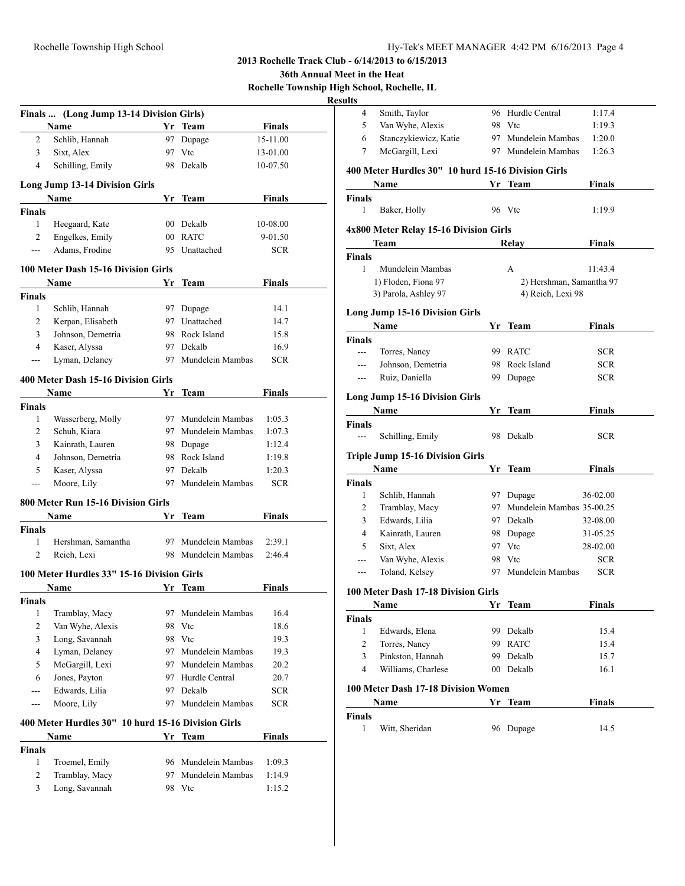**36th Annual Meet in the Heat**

**Rochelle Township High School, Rochelle, IL**

|                   | Finals  (Long Jump 13-14 Division Girls)           |    |                                            |                    |
|-------------------|----------------------------------------------------|----|--------------------------------------------|--------------------|
|                   | Name                                               |    | Yr Team                                    | <b>Finals</b>      |
| 2                 | Schlib, Hannah                                     |    | 97 Dupage                                  | 15-11.00           |
| 3                 | Sixt, Alex                                         |    | 97 Vtc                                     | 13-01.00           |
| 4                 | Schilling, Emily                                   |    | 98 Dekalb                                  | 10-07.50           |
|                   | <b>Long Jump 13-14 Division Girls</b>              |    |                                            |                    |
|                   | <b>Name</b>                                        |    | Yr Team                                    | <b>Finals</b>      |
| <b>Finals</b>     |                                                    |    |                                            |                    |
| 1                 | Heegaard, Kate                                     |    | 00 Dekalb                                  | 10-08.00           |
| $\overline{c}$    | Engelkes, Emily                                    |    | 00 RATC                                    | 9-01.50            |
| $---$             | Adams, Frodine                                     |    | 95 Unattached                              | <b>SCR</b>         |
|                   | 100 Meter Dash 15-16 Division Girls                |    |                                            |                    |
|                   | Name                                               | Yr | Team                                       | Finals             |
| <b>Finals</b>     |                                                    |    |                                            |                    |
| 1                 | Schlib, Hannah                                     |    | 97 Dupage                                  | 14.1               |
| 2                 | Kerpan, Elisabeth                                  |    | 97 Unattached                              | 14.7               |
| 3                 | Johnson, Demetria                                  |    | 98 Rock Island                             | 15.8               |
| $\overline{4}$    | Kaser, Alyssa                                      |    | 97 Dekalb                                  | 16.9               |
| $\qquad \qquad -$ | Lyman, Delaney                                     |    | 97 Mundelein Mambas                        | <b>SCR</b>         |
|                   | 400 Meter Dash 15-16 Division Girls                |    |                                            |                    |
|                   | Name                                               | Yr | Team                                       | <b>Finals</b>      |
| <b>Finals</b>     |                                                    |    |                                            |                    |
| 1                 | Wasserberg, Molly                                  |    | 97 Mundelein Mambas                        | 1:05.3             |
| 2                 | Schuh, Kiara                                       |    | 97 Mundelein Mambas                        | 1:07.3             |
| 3                 | Kainrath, Lauren                                   |    | 98 Dupage                                  | 1:12.4             |
| 4                 | Johnson, Demetria                                  |    | 98 Rock Island                             | 1:19.8             |
| 5                 | Kaser, Alyssa                                      |    | 97 Dekalb                                  | 1:20.3             |
| ---               | Moore, Lily                                        |    | 97 Mundelein Mambas                        | <b>SCR</b>         |
|                   | 800 Meter Run 15-16 Division Girls                 |    |                                            |                    |
|                   | Name                                               | Yr | Team                                       | Finals             |
| <b>Finals</b>     |                                                    |    |                                            |                    |
| 1                 | Hershman, Samantha                                 |    | 97 Mundelein Mambas                        | 2:39.1             |
| 2                 | Reich, Lexi                                        |    | 98 Mundelein Mambas                        | 2:46.4             |
|                   | 100 Meter Hurdles 33" 15-16 Division Girls         |    |                                            |                    |
|                   | Name                                               |    | Yr Team                                    | Finals             |
| <b>Finals</b>     |                                                    |    |                                            |                    |
| 1                 | Tramblay, Macy                                     | 97 | Mundelein Mambas                           | 16.4               |
| 2<br>3            | Van Wyhe, Alexis                                   |    | 98 Vtc                                     | 18.6               |
| 4                 | Long, Savannah                                     |    | 98 Vtc                                     | 19.3               |
| 5                 | Lyman, Delaney                                     |    | 97 Mundelein Mambas<br>97 Mundelein Mambas | 19.3               |
| 6                 | McGargill, Lexi<br>Jones, Payton                   |    | 97 Hurdle Central                          | 20.2               |
| $- - -$           | Edwards, Lilia                                     |    | 97 Dekalb                                  | 20.7<br><b>SCR</b> |
| $---$             | Moore, Lily                                        | 97 | Mundelein Mambas                           | <b>SCR</b>         |
|                   |                                                    |    |                                            |                    |
|                   | 400 Meter Hurdles 30" 10 hurd 15-16 Division Girls |    |                                            |                    |
| <b>Finals</b>     | Name                                               |    | Yr Team                                    | <b>Finals</b>      |
| 1                 | Troemel, Emily                                     | 96 | Mundelein Mambas                           | 1:09.3             |
| 2                 | Tramblay, Macy                                     | 97 | Mundelein Mambas                           | 1:14.9             |
| 3                 | Long, Savannah                                     | 98 | Vtc                                        | 1:15.2             |
|                   |                                                    |    |                                            |                    |
|                   |                                                    |    |                                            |                    |

| 4              | Smith, Taylor                                      | 96  | Hurdle Central            | 1:17.4        |
|----------------|----------------------------------------------------|-----|---------------------------|---------------|
| 5              | Van Wyhe, Alexis                                   | 98  | Vtc                       | 1:19.3        |
| 6              | Stanczykiewicz, Katie                              | 97  | Mundelein Mambas          | 1:20.0        |
| 7              | McGargill, Lexi                                    |     | 97 Mundelein Mambas       | 1:26.3        |
|                | 400 Meter Hurdles 30" 10 hurd 15-16 Division Girls |     |                           |               |
|                | Name                                               |     | Yr Team                   | Finals        |
|                |                                                    |     |                           |               |
| Finals<br>1    | Baker, Holly                                       |     | 96 Vtc                    | 1:19.9        |
|                |                                                    |     |                           |               |
|                | 4x800 Meter Relay 15-16 Division Girls             |     |                           |               |
|                | Team                                               |     | Relay                     | <b>Finals</b> |
| <b>Finals</b>  |                                                    |     |                           |               |
| 1              | Mundelein Mambas                                   |     | A                         | 11:43.4       |
|                | 1) Floden, Fiona 97                                |     | 2) Hershman, Samantha 97  |               |
|                | 3) Parola, Ashley 97                               |     | 4) Reich, Lexi 98         |               |
|                | <b>Long Jump 15-16 Division Girls</b>              |     |                           |               |
|                | Name                                               |     | Yr Team                   | <b>Finals</b> |
| <b>Finals</b>  |                                                    |     |                           |               |
| $---$          | Torres, Nancy                                      | 99  | <b>RATC</b>               | <b>SCR</b>    |
| ---            | Johnson, Demetria                                  | 98  | Rock Island               | <b>SCR</b>    |
| ---            | Ruiz, Daniella                                     | 99  | Dupage                    | <b>SCR</b>    |
|                |                                                    |     |                           |               |
|                | <b>Long Jump 15-16 Division Girls</b>              |     |                           |               |
|                | <b>Name</b>                                        |     | Yr Team                   | Finals        |
| Finals         |                                                    |     |                           |               |
| $---$          | Schilling, Emily                                   |     | 98 Dekalb                 | <b>SCR</b>    |
|                | <b>Triple Jump 15-16 Division Girls</b>            |     |                           |               |
|                | Name                                               |     | Yr Team                   | <b>Finals</b> |
| Finals         |                                                    |     |                           |               |
| 1              | Schlib, Hannah                                     |     | 97 Dupage                 | 36-02.00      |
| 2              | Tramblay, Macy                                     | 97  | Mundelein Mambas 35-00.25 |               |
| 3              | Edwards, Lilia                                     |     | 97 Dekalb                 | 32-08.00      |
| $\overline{4}$ | Kainrath, Lauren                                   | 98  | Dupage                    | 31-05.25      |
| 5              | Sixt, Alex                                         |     | 97 Vtc                    | 28-02.00      |
| ---            | Van Wyhe, Alexis                                   |     | 98 Vtc                    | SCR           |
| ---            | Toland, Kelsey                                     | 97  | Mundelein Mambas          | <b>SCR</b>    |
|                | 100 Meter Dash 17-18 Division Girls                |     |                           |               |
|                | Name                                               |     | Yr Team                   | Finals        |
| <b>Finals</b>  |                                                    |     |                           |               |
| 1              | Edwards, Elena                                     | 99. | Dekalb                    | 15.4          |
| $\overline{c}$ | Torres, Nancy                                      | 99. | <b>RATC</b>               | 15.4          |
| 3              | Pinkston, Hannah                                   | 99  | Dekalb                    | 15.7          |
| 4              | Williams, Charlese                                 |     | 00 Dekalb                 | 16.1          |
|                |                                                    |     |                           |               |
|                | 100 Meter Dash 17-18 Division Women                |     |                           |               |
|                | Name                                               |     | Yr Team                   | <b>Finals</b> |
| <b>Finals</b>  |                                                    |     |                           |               |
| $\mathbf{1}$   | Witt, Sheridan                                     |     | 96 Dupage                 | 14.5          |
|                |                                                    |     |                           |               |
|                |                                                    |     |                           |               |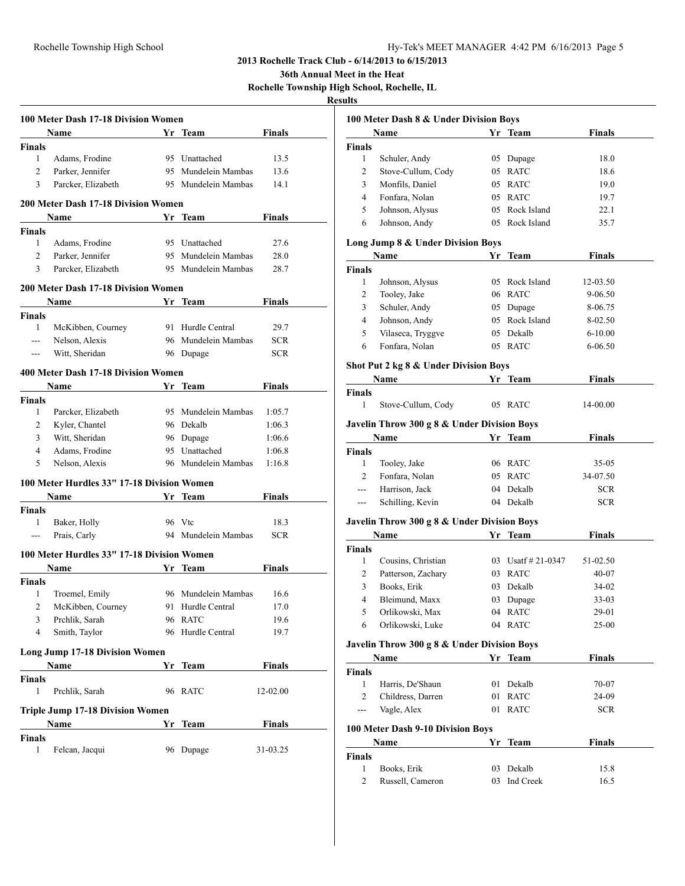**36th Annual Meet in the Heat**

**Rochelle Township High School, Rochelle, IL**

|                | 100 Meter Dash 17-18 Division Women        |    |                     |               |
|----------------|--------------------------------------------|----|---------------------|---------------|
|                | Name                                       |    | Yr Team             | <b>Finals</b> |
| <b>Finals</b>  |                                            |    |                     |               |
| $\mathbf{1}$   | Adams, Frodine                             |    | 95 Unattached       | 13.5          |
| 2              | Parker, Jennifer                           |    | 95 Mundelein Mambas | 13.6          |
| 3              | Parcker, Elizabeth                         |    | 95 Mundelein Mambas | 14.1          |
|                | 200 Meter Dash 17-18 Division Women        |    |                     |               |
|                | Name                                       |    | Yr Team             | Finals        |
| <b>Finals</b>  |                                            |    |                     |               |
| 1              | Adams, Frodine                             |    | 95 Unattached       | 27.6          |
| 2              | Parker, Jennifer                           |    | 95 Mundelein Mambas | 28.0          |
| 3              | Parcker, Elizabeth                         |    | 95 Mundelein Mambas | 28.7          |
|                | <b>200 Meter Dash 17-18 Division Women</b> |    |                     |               |
|                | Name                                       |    | Yr Team             | Finals        |
| <b>Finals</b>  |                                            |    |                     |               |
| 1              | McKibben, Courney                          |    | 91 Hurdle Central   | 29.7          |
| $\overline{a}$ | Nelson, Alexis                             |    | 96 Mundelein Mambas | SCR           |
| $\overline{a}$ | Witt, Sheridan                             |    | 96 Dupage           | <b>SCR</b>    |
|                | 400 Meter Dash 17-18 Division Women        |    |                     |               |
|                | Name                                       |    | Yr Team             | <b>Finals</b> |
| <b>Finals</b>  |                                            |    |                     |               |
| 1              | Parcker, Elizabeth                         |    | 95 Mundelein Mambas | 1:05.7        |
| 2              | Kyler, Chantel                             |    | 96 Dekalb           | 1:06.3        |
|                |                                            |    |                     |               |
| 3              | Witt, Sheridan                             |    | 96 Dupage           | 1:06.6        |
| 4              | Adams, Frodine                             |    | 95 Unattached       | 1:06.8        |
| 5              | Nelson, Alexis                             |    | 96 Mundelein Mambas | 1:16.8        |
|                | 100 Meter Hurdles 33" 17-18 Division Women |    |                     |               |
|                | Name                                       |    | Yr Team             | Finals        |
| <b>Finals</b>  |                                            |    |                     |               |
| 1              | Baker, Holly                               |    | 96 Vtc              | 18.3          |
| $---$          | Prais, Carly                               |    | 94 Mundelein Mambas | <b>SCR</b>    |
|                | 100 Meter Hurdles 33" 17-18 Division Women |    |                     |               |
|                | Name                                       | Yr | Team                | <b>Finals</b> |
| <b>Finals</b>  |                                            |    |                     |               |
| 1              | Troemel, Emily                             |    | 96 Mundelein Mambas | 16.6          |
| 2              | McKibben, Courney                          |    | 91 Hurdle Central   | 17.0          |
| 3              | Prchlik, Sarah                             |    | 96 RATC             | 19.6          |
| 4              | Smith, Taylor                              | 96 | Hurdle Central      | 19.7          |
|                | <b>Long Jump 17-18 Division Women</b>      |    |                     |               |
|                | Name                                       | Yr | Team                | Finals        |
| <b>Finals</b>  |                                            |    |                     |               |
| 1              | Prchlik, Sarah                             | 96 | <b>RATC</b>         | 12-02.00      |
|                | <b>Triple Jump 17-18 Division Women</b>    |    |                     |               |
|                | Name                                       | Yr | Team                | Finals        |
| Finals         |                                            |    |                     |               |
| 1              | Felcan, Jacqui                             | 96 | Dupage              | 31-03.25      |
|                |                                            |    |                     |               |

|                    | 100 Meter Dash 8 & Under Division Boys              |    |                       |               |
|--------------------|-----------------------------------------------------|----|-----------------------|---------------|
|                    | Name                                                |    | Yr_Team               | <b>Finals</b> |
| <b>Finals</b>      |                                                     |    |                       |               |
| 1                  | Schuler, Andy                                       |    | 05 Dupage             | 18.0          |
| 2                  | Stove-Cullum, Cody                                  |    | 05 RATC               | 18.6          |
| 3                  | Monfils, Daniel                                     |    | 05 RATC               | 19.0          |
| $\overline{4}$     | Fonfara, Nolan                                      |    | 05 RATC               | 19.7          |
| 5                  | Johnson, Alysus                                     |    | 05 Rock Island        | 22.1          |
| 6                  | Johnson, Andy                                       |    | 05 Rock Island        | 35.7          |
|                    | Long Jump 8 & Under Division Boys                   |    |                       |               |
|                    | Name                                                |    | Yr Team               | <b>Finals</b> |
| <b>Finals</b>      |                                                     |    |                       |               |
| 1                  | Johnson, Alysus                                     |    | 05 Rock Island        | 12-03.50      |
| 2                  | Tooley, Jake                                        |    | 06 RATC               | 9-06.50       |
| 3                  | Schuler, Andy                                       |    | 05 Dupage             | 8-06.75       |
| 4                  | Johnson, Andy                                       |    | 05 Rock Island        | 8-02.50       |
| 5                  | Vilaseca, Tryggve                                   |    | 05 Dekalb             | $6 - 10.00$   |
| 6                  | Fonfara, Nolan                                      |    | 05 RATC               | 6-06.50       |
|                    | Shot Put 2 kg 8 & Under Division Boys               |    |                       |               |
|                    | Name                                                |    | Yr Team               | <b>Finals</b> |
| <b>Finals</b>      |                                                     |    |                       |               |
| 1                  | Stove-Cullum, Cody                                  |    | 05 RATC               | 14-00.00      |
|                    | Javelin Throw 300 g 8 & Under Division Boys         |    |                       |               |
|                    | Name                                                |    | Yr Team               | <b>Finals</b> |
| <b>Finals</b>      |                                                     |    |                       |               |
| 1                  | Tooley, Jake                                        |    | 06 RATC               | $35 - 05$     |
| $\overline{2}$     | Fonfara, Nolan                                      |    | 05 RATC               | 34-07.50      |
| $---$              | Harrison, Jack                                      |    | 04 Dekalb             | <b>SCR</b>    |
| $---$              | Schilling, Kevin                                    |    | 04 Dekalb             | <b>SCR</b>    |
|                    |                                                     |    |                       |               |
|                    | Javelin Throw 300 g 8 & Under Division Boys<br>Name |    |                       | <b>Finals</b> |
|                    |                                                     |    | Yr Team               |               |
| <b>Finals</b><br>1 |                                                     |    | 03 Usatf $\#$ 21-0347 | 51-02.50      |
|                    | Cousins, Christian                                  |    |                       |               |
| 2                  | Patterson, Zachary<br>Books, Erik                   |    | 03 RATC               | 40-07         |
| 3                  |                                                     |    | 03 Dekalb             | 34-02         |
| 4                  | Bleimund, Maxx                                      |    | 03 Dupage             | 33-03         |
| 5                  | Orlikowski, Max                                     |    | 04 RATC               | 29-01         |
| 6                  | Orlikowski, Luke                                    |    | 04 RATC               | 25-00         |
|                    | Javelin Throw 300 g 8 & Under Division Boys         |    |                       |               |
|                    | Name                                                |    | Yr Team               | <b>Finals</b> |
| <b>Finals</b>      |                                                     |    |                       |               |
| 1                  | Harris, De'Shaun                                    | 01 | Dekalb                | 70-07         |
| 2                  | Childress, Darren                                   | 01 | <b>RATC</b>           | 24-09         |
| ---                | Vagle, Alex                                         | 01 | <b>RATC</b>           | <b>SCR</b>    |
|                    | 100 Meter Dash 9-10 Division Boys                   |    |                       |               |
|                    | Name                                                | Yr | Team                  | <b>Finals</b> |
| <b>Finals</b>      |                                                     |    |                       |               |
| 1                  | Books, Erik                                         |    | 03 Dekalb             | 15.8          |
| 2                  | Russell, Cameron                                    |    | 03 Ind Creek          | 16.5          |
|                    |                                                     |    |                       |               |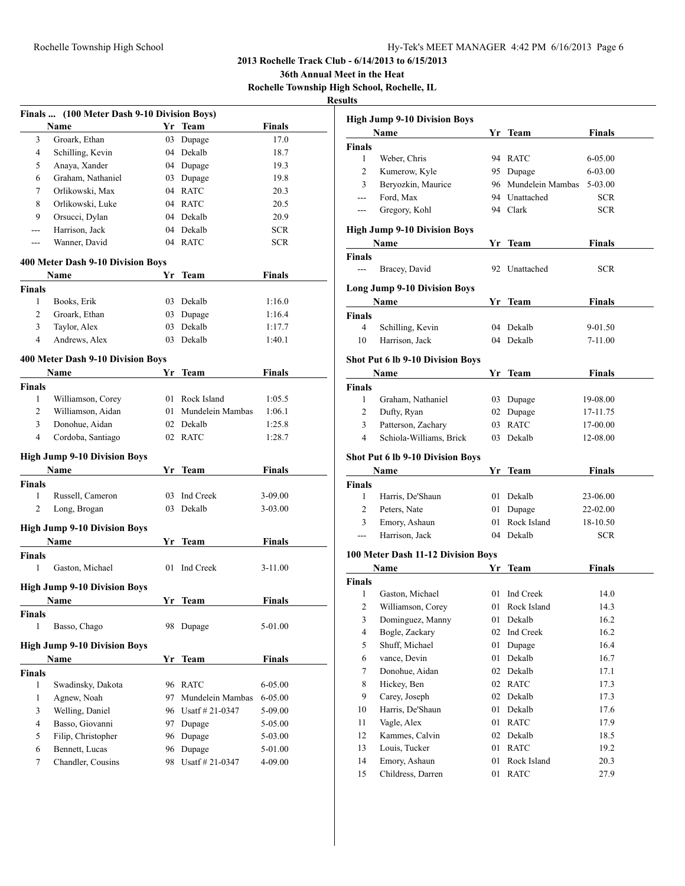**36th Annual Meet in the Heat**

**Rochelle Township High School, Rochelle, IL**

| Name                                | Yr                                                                                                                                                                                                                                                      | <b>Team</b>                                                                              | <b>Finals</b>                                                                                                                                                                                                                                                                                           |
|-------------------------------------|---------------------------------------------------------------------------------------------------------------------------------------------------------------------------------------------------------------------------------------------------------|------------------------------------------------------------------------------------------|---------------------------------------------------------------------------------------------------------------------------------------------------------------------------------------------------------------------------------------------------------------------------------------------------------|
| 3<br>Groark, Ethan                  |                                                                                                                                                                                                                                                         | Dupage                                                                                   | 17.0                                                                                                                                                                                                                                                                                                    |
| Schilling, Kevin<br>4               |                                                                                                                                                                                                                                                         | Dekalb                                                                                   | 18.7                                                                                                                                                                                                                                                                                                    |
| 5<br>Anaya, Xander                  |                                                                                                                                                                                                                                                         |                                                                                          | 19.3                                                                                                                                                                                                                                                                                                    |
| Graham, Nathaniel<br>6              |                                                                                                                                                                                                                                                         | Dupage                                                                                   | 19.8                                                                                                                                                                                                                                                                                                    |
| 7<br>Orlikowski, Max                |                                                                                                                                                                                                                                                         |                                                                                          | 20.3                                                                                                                                                                                                                                                                                                    |
| 8<br>Orlikowski, Luke               |                                                                                                                                                                                                                                                         |                                                                                          | 20.5                                                                                                                                                                                                                                                                                                    |
| 9<br>Orsucci, Dylan                 |                                                                                                                                                                                                                                                         |                                                                                          | 20.9                                                                                                                                                                                                                                                                                                    |
| Harrison, Jack                      |                                                                                                                                                                                                                                                         |                                                                                          | <b>SCR</b>                                                                                                                                                                                                                                                                                              |
| Wanner, David<br>$---$              |                                                                                                                                                                                                                                                         |                                                                                          | <b>SCR</b>                                                                                                                                                                                                                                                                                              |
|                                     |                                                                                                                                                                                                                                                         |                                                                                          |                                                                                                                                                                                                                                                                                                         |
| Name                                | Yr                                                                                                                                                                                                                                                      | Team                                                                                     | <b>Finals</b>                                                                                                                                                                                                                                                                                           |
| <b>Finals</b>                       |                                                                                                                                                                                                                                                         |                                                                                          |                                                                                                                                                                                                                                                                                                         |
| 1<br>Books, Erik                    |                                                                                                                                                                                                                                                         |                                                                                          | 1:16.0                                                                                                                                                                                                                                                                                                  |
| 2<br>Groark, Ethan                  |                                                                                                                                                                                                                                                         | Dupage                                                                                   | 1:16.4                                                                                                                                                                                                                                                                                                  |
| 3<br>Taylor, Alex                   |                                                                                                                                                                                                                                                         | Dekalb                                                                                   | 1:17.7                                                                                                                                                                                                                                                                                                  |
| 4<br>Andrews, Alex                  | 03                                                                                                                                                                                                                                                      | Dekalb                                                                                   | 1:40.1                                                                                                                                                                                                                                                                                                  |
|                                     |                                                                                                                                                                                                                                                         |                                                                                          |                                                                                                                                                                                                                                                                                                         |
|                                     |                                                                                                                                                                                                                                                         |                                                                                          | <b>Finals</b>                                                                                                                                                                                                                                                                                           |
|                                     |                                                                                                                                                                                                                                                         |                                                                                          |                                                                                                                                                                                                                                                                                                         |
| 1                                   |                                                                                                                                                                                                                                                         |                                                                                          | 1:05.5                                                                                                                                                                                                                                                                                                  |
|                                     |                                                                                                                                                                                                                                                         |                                                                                          | 1:06.1                                                                                                                                                                                                                                                                                                  |
|                                     |                                                                                                                                                                                                                                                         |                                                                                          | 1:25.8                                                                                                                                                                                                                                                                                                  |
|                                     |                                                                                                                                                                                                                                                         |                                                                                          | 1:28.7                                                                                                                                                                                                                                                                                                  |
|                                     |                                                                                                                                                                                                                                                         |                                                                                          |                                                                                                                                                                                                                                                                                                         |
| <b>High Jump 9-10 Division Boys</b> |                                                                                                                                                                                                                                                         |                                                                                          |                                                                                                                                                                                                                                                                                                         |
|                                     |                                                                                                                                                                                                                                                         |                                                                                          | <b>Finals</b>                                                                                                                                                                                                                                                                                           |
| <b>Finals</b>                       |                                                                                                                                                                                                                                                         |                                                                                          |                                                                                                                                                                                                                                                                                                         |
| 1                                   |                                                                                                                                                                                                                                                         |                                                                                          | 3-09.00                                                                                                                                                                                                                                                                                                 |
| 2                                   |                                                                                                                                                                                                                                                         |                                                                                          | 3-03.00                                                                                                                                                                                                                                                                                                 |
| <b>High Jump 9-10 Division Boys</b> |                                                                                                                                                                                                                                                         |                                                                                          |                                                                                                                                                                                                                                                                                                         |
| Name                                |                                                                                                                                                                                                                                                         |                                                                                          | <b>Finals</b>                                                                                                                                                                                                                                                                                           |
| <b>Finals</b>                       |                                                                                                                                                                                                                                                         |                                                                                          |                                                                                                                                                                                                                                                                                                         |
| 1<br>Gaston, Michael                | 01                                                                                                                                                                                                                                                      | Ind Creek                                                                                | $3 - 11.00$                                                                                                                                                                                                                                                                                             |
|                                     |                                                                                                                                                                                                                                                         |                                                                                          |                                                                                                                                                                                                                                                                                                         |
|                                     |                                                                                                                                                                                                                                                         |                                                                                          | Finals                                                                                                                                                                                                                                                                                                  |
|                                     |                                                                                                                                                                                                                                                         |                                                                                          |                                                                                                                                                                                                                                                                                                         |
| 1<br>Basso, Chago                   |                                                                                                                                                                                                                                                         |                                                                                          | 5-01.00                                                                                                                                                                                                                                                                                                 |
| <b>High Jump 9-10 Division Boys</b> |                                                                                                                                                                                                                                                         |                                                                                          |                                                                                                                                                                                                                                                                                                         |
| Name                                | Yr                                                                                                                                                                                                                                                      |                                                                                          | <b>Finals</b>                                                                                                                                                                                                                                                                                           |
| <b>Finals</b>                       |                                                                                                                                                                                                                                                         |                                                                                          |                                                                                                                                                                                                                                                                                                         |
| 1<br>Swadinsky, Dakota              |                                                                                                                                                                                                                                                         |                                                                                          | 6-05.00                                                                                                                                                                                                                                                                                                 |
| Agnew, Noah<br>1                    | 97                                                                                                                                                                                                                                                      | Mundelein Mambas                                                                         | 6-05.00                                                                                                                                                                                                                                                                                                 |
| 3<br>Welling, Daniel                | 96                                                                                                                                                                                                                                                      | Usatf # 21-0347                                                                          | 5-09.00                                                                                                                                                                                                                                                                                                 |
| 4<br>Basso, Giovanni                | 97                                                                                                                                                                                                                                                      |                                                                                          | 5-05.00                                                                                                                                                                                                                                                                                                 |
| 5                                   | 96                                                                                                                                                                                                                                                      | Dupage                                                                                   | 5-03.00                                                                                                                                                                                                                                                                                                 |
| Bennett, Lucas<br>6                 | 96                                                                                                                                                                                                                                                      | Dupage                                                                                   | 5-01.00                                                                                                                                                                                                                                                                                                 |
| 7<br>Chandler, Cousins              | 98                                                                                                                                                                                                                                                      | Usatf #21-0347                                                                           | 4-09.00                                                                                                                                                                                                                                                                                                 |
|                                     | Name<br><b>Finals</b><br>Williamson, Corey<br>2<br>Williamson, Aidan<br>3<br>Donohue, Aidan<br>4<br>Cordoba, Santiago<br>Name<br>Russell, Cameron<br>Long, Brogan<br><b>High Jump 9-10 Division Boys</b><br><b>Name</b><br>Finals<br>Filip, Christopher | 400 Meter Dash 9-10 Division Boys<br>400 Meter Dash 9-10 Division Boys<br>Yr<br>Yr<br>03 | 03<br>04<br>04 Dupage<br>03<br>04 RATC<br>04 RATC<br>04 Dekalb<br>04 Dekalb<br>04 RATC<br>03 Dekalb<br>03<br>03<br>Team<br>01 Rock Island<br>Mundelein Mambas<br>01<br>02 Dekalb<br>02 RATC<br>Team<br>03<br>Ind Creek<br>Dekalb<br>Yr Team<br>Yr Team<br>98 Dupage<br><b>Team</b><br>96 RATC<br>Dupage |

| <b>High Jump 9-10 Division Boys</b>     |                                         |    |                     |               |  |  |  |
|-----------------------------------------|-----------------------------------------|----|---------------------|---------------|--|--|--|
|                                         | Name                                    |    | Yr Team             | <b>Finals</b> |  |  |  |
| <b>Finals</b>                           |                                         |    |                     |               |  |  |  |
| 1                                       | Weber, Chris                            |    | 94 RATC             | 6-05.00       |  |  |  |
| 2                                       | Kumerow, Kyle                           |    | 95 Dupage           | 6-03.00       |  |  |  |
| 3                                       | Beryozkin, Maurice                      |    | 96 Mundelein Mambas | 5-03.00       |  |  |  |
| ---                                     | Ford, Max                               |    | 94 Unattached       | SCR           |  |  |  |
| $---$                                   | Gregory, Kohl                           |    | 94 Clark            | SCR           |  |  |  |
|                                         | <b>High Jump 9-10 Division Boys</b>     |    |                     |               |  |  |  |
|                                         | Name                                    |    | Yr Team             | <b>Finals</b> |  |  |  |
| <b>Finals</b>                           |                                         |    |                     |               |  |  |  |
| $---$                                   | Bracey, David                           |    | 92 Unattached       | SCR           |  |  |  |
|                                         |                                         |    |                     |               |  |  |  |
|                                         | <b>Long Jump 9-10 Division Boys</b>     |    |                     |               |  |  |  |
|                                         | Name                                    |    | Yr Team             | Finals        |  |  |  |
| Finals                                  |                                         |    |                     |               |  |  |  |
| 4                                       | Schilling, Kevin                        |    | 04 Dekalb           | 9-01.50       |  |  |  |
| 10                                      | Harrison, Jack                          |    | 04 Dekalb           | 7-11.00       |  |  |  |
| <b>Shot Put 6 lb 9-10 Division Boys</b> |                                         |    |                     |               |  |  |  |
|                                         | Name                                    |    | Yr Team             | <b>Finals</b> |  |  |  |
| <b>Finals</b>                           |                                         |    |                     |               |  |  |  |
| 1                                       | Graham, Nathaniel                       |    | 03 Dupage           | 19-08.00      |  |  |  |
| 2                                       | Dufty, Ryan                             | 02 | Dupage              | 17-11.75      |  |  |  |
| 3                                       | Patterson, Zachary                      | 03 | <b>RATC</b>         | 17-00.00      |  |  |  |
| 4                                       | Schiola-Williams, Brick                 |    | 03 Dekalb           | 12-08.00      |  |  |  |
|                                         | <b>Shot Put 6 lb 9-10 Division Boys</b> |    |                     |               |  |  |  |
|                                         | Name                                    |    | Yr Team             | <b>Finals</b> |  |  |  |
| <b>Finals</b>                           |                                         |    |                     |               |  |  |  |
| 1                                       | Harris, De'Shaun                        |    | 01 Dekalb           | 23-06.00      |  |  |  |
| $\overline{2}$                          | Peters, Nate                            | 01 | Dupage              | 22-02.00      |  |  |  |
| 3                                       | Emory, Ashaun                           |    | 01 Rock Island      | 18-10.50      |  |  |  |
| ---                                     | Harrison, Jack                          |    | 04 Dekalb           | SCR           |  |  |  |
|                                         |                                         |    |                     |               |  |  |  |
|                                         | 100 Meter Dash 11-12 Division Boys      |    |                     |               |  |  |  |
|                                         | Name                                    | Yr | <b>Team</b>         | <b>Finals</b> |  |  |  |
| <b>Finals</b><br>1                      | Gaston, Michael                         | 01 | Ind Creek           | 14.0          |  |  |  |
| 2                                       | Williamson, Corey                       |    | 01 Rock Island      | 14.3          |  |  |  |
| 3                                       |                                         | 01 |                     | 16.2          |  |  |  |
| 4                                       | Dominguez, Manny<br>Bogle, Zackary      | 02 | Dekalb<br>Ind Creek | 16.2          |  |  |  |
| 5                                       | Shuff, Michael                          | 01 | Dupage              | 16.4          |  |  |  |
| 6                                       | vance, Devin                            | 01 | Dekalb              | 16.7          |  |  |  |
| 7                                       | Donohue, Aidan                          | 02 | Dekalb              | 17.1          |  |  |  |
| 8                                       | Hickey, Ben                             | 02 | <b>RATC</b>         | 17.3          |  |  |  |
| 9                                       | Carey, Joseph                           | 02 | Dekalb              | 17.3          |  |  |  |
| 10                                      | Harris, De'Shaun                        | 01 | Dekalb              | 17.6          |  |  |  |
| 11                                      | Vagle, Alex                             | 01 | <b>RATC</b>         | 17.9          |  |  |  |
| 12                                      | Kammes, Calvin                          | 02 | Dekalb              | 18.5          |  |  |  |
| 13                                      | Louis, Tucker                           | 01 | <b>RATC</b>         | 19.2          |  |  |  |
| 14                                      | Emory, Ashaun                           | 01 | Rock Island         | 20.3          |  |  |  |
| 15                                      | Childress, Darren                       | 01 | <b>RATC</b>         | 27.9          |  |  |  |
|                                         |                                         |    |                     |               |  |  |  |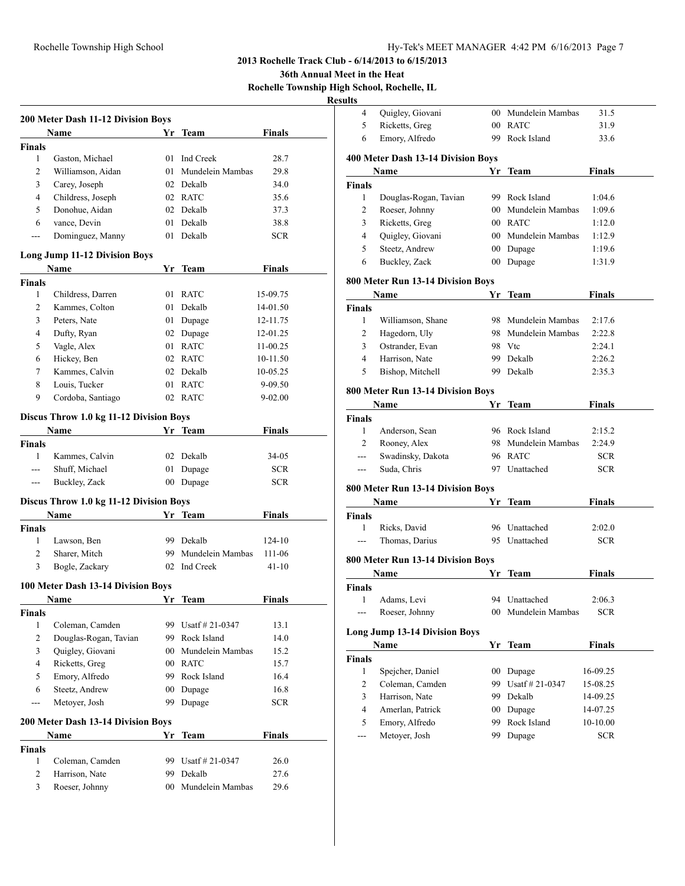### Rochelle Township High School Hy-Tek's MEET MANAGER 4:42 PM 6/16/2013 Page 7

**2013 Rochelle Track Club - 6/14/2013 to 6/15/2013**

**36th Annual Meet in the Heat**

**Rochelle Township High School, Rochelle, IL**

**Resul** 

|               | 200 Meter Dash 11-12 Division Boys        |        |                     |               |
|---------------|-------------------------------------------|--------|---------------------|---------------|
|               | Name                                      |        | Yr Team             | <b>Finals</b> |
| <b>Finals</b> |                                           |        |                     |               |
| $\mathbf{1}$  | Gaston, Michael                           | 01     | Ind Creek           | 28.7          |
| 2             | Williamson, Aidan                         |        | 01 Mundelein Mambas | 29.8          |
| 3             | Carey, Joseph                             |        | 02 Dekalb           | 34.0          |
| 4             | Childress, Joseph                         |        | 02 RATC             | 35.6          |
| 5             | Donohue, Aidan                            |        | 02 Dekalb           | 37.3          |
| 6             | vance, Devin                              | 01     | Dekalb              | 38.8          |
| ---           | Dominguez, Manny                          | 01     | Dekalb              | <b>SCR</b>    |
|               | <b>Long Jump 11-12 Division Boys</b>      |        |                     |               |
|               | Name                                      | Yr     | Team                | <b>Finals</b> |
| <b>Finals</b> |                                           |        |                     |               |
| $\mathbf{1}$  | Childress, Darren                         | 01     | <b>RATC</b>         | 15-09.75      |
| 2             | Kammes, Colton                            |        | 01 Dekalb           | 14-01.50      |
| 3             | Peters, Nate                              |        | 01 Dupage           | 12-11.75      |
| 4             | Dufty, Ryan                               |        | 02 Dupage           | 12-01.25      |
| 5             | Vagle, Alex                               |        | 01 RATC             | 11-00.25      |
| 6             | Hickey, Ben                               |        | 02 RATC             | 10-11.50      |
| 7             | Kammes, Calvin                            |        | 02 Dekalb           | 10-05.25      |
| 8             | Louis, Tucker                             | 01     | <b>RATC</b>         | 9-09.50       |
| 9             | Cordoba, Santiago                         | 02     | RATC                | $9 - 02.00$   |
|               | Discus Throw 1.0 kg 11-12 Division Boys   |        |                     |               |
|               | Name                                      |        | Yr Team             | Finals        |
| Finals        |                                           |        |                     |               |
| $\mathbf{1}$  | Kammes, Calvin                            |        | 02 Dekalb           | 34-05         |
|               | Shuff, Michael                            | 01     | Dupage              | <b>SCR</b>    |
| $---$         | Buckley, Zack                             | 00     | Dupage              | <b>SCR</b>    |
|               | Discus Throw 1.0 kg 11-12 Division Boys   |        |                     |               |
|               | Name                                      |        | Yr Team             | <b>Finals</b> |
| <b>Finals</b> |                                           |        |                     |               |
| 1             | Lawson, Ben                               |        | 99 Dekalb           | 124-10        |
| 2             | Sharer, Mitch                             | 99.    | Mundelein Mambas    | 111-06        |
| 3             | Bogle, Zackary                            |        | 02 Ind Creek        | 41-10         |
|               | 100 Meter Dash 13-14 Division Boys        |        |                     |               |
|               | Name                                      | Yr     | Team                | Finals        |
| <b>Finals</b> |                                           |        |                     |               |
| 1             | Coleman, Camden                           | 99     | Usatf $\#$ 21-0347  | 13.1          |
| 2             | Douglas-Rogan, Tavian                     |        | 99 Rock Island      | 14.0          |
| 3             | Quigley, Giovani                          |        | 00 Mundelein Mambas | 15.2          |
| 4             | Ricketts, Greg                            |        | 00 RATC             | 15.7          |
| 5             | Emory, Alfredo                            |        | 99 Rock Island      | 16.4          |
| 6             | Steetz, Andrew                            | $00\,$ | Dupage              | 16.8          |
| ---           | Metover, Josh                             | 99     | Dupage              | <b>SCR</b>    |
|               | <b>200 Meter Dash 13-14 Division Boys</b> |        |                     |               |
|               | Name                                      | Yr     | <b>Team</b>         | <b>Finals</b> |
| <b>Finals</b> |                                           |        |                     |               |
| 1             | Coleman, Camden                           | 99     | Usatf # 21-0347     | 26.0          |
| 2             | Harrison, Nate                            | 99     | Dekalb              | 27.6          |
| 3             | Roeser, Johnny                            | 00     | Mundelein Mambas    | 29.6          |
|               |                                           |        |                     |               |

| ults           |                                      |        |                     |               |  |
|----------------|--------------------------------------|--------|---------------------|---------------|--|
| 4              | Quigley, Giovani                     |        | 00 Mundelein Mambas | 31.5          |  |
| 5              | Ricketts, Greg                       |        | 00 RATC             | 31.9          |  |
| 6              | Emory, Alfredo                       | 99     | Rock Island         | 33.6          |  |
|                | 400 Meter Dash 13-14 Division Boys   |        |                     |               |  |
|                | Name                                 | Yr     | Team                | <b>Finals</b> |  |
| <b>Finals</b>  |                                      |        |                     |               |  |
| 1              | Douglas-Rogan, Tavian                |        | 99 Rock Island      | 1:04.6        |  |
| $\overline{c}$ | Roeser, Johnny                       |        | 00 Mundelein Mambas | 1:09.6        |  |
| 3              | Ricketts, Greg                       |        | 00 RATC             | 1:12.0        |  |
| 4              | Quigley, Giovani                     |        | 00 Mundelein Mambas | 1:12.9        |  |
| 5              | Steetz, Andrew                       |        | 00 Dupage           | 1:19.6        |  |
| 6              | Buckley, Zack                        |        | 00 Dupage           | 1:31.9        |  |
|                | 800 Meter Run 13-14 Division Boys    |        |                     |               |  |
|                | Name                                 | Yr     | Team                | Finals        |  |
| Finals         |                                      |        |                     |               |  |
| 1              | Williamson, Shane                    |        | 98 Mundelein Mambas | 2:17.6        |  |
| 2              | Hagedorn, Uly                        |        | 98 Mundelein Mambas | 2:22.8        |  |
| 3              | Ostrander, Evan                      |        | 98 Vtc              | 2:24.1        |  |
| 4              | Harrison, Nate                       |        | 99 Dekalb           | 2:26.2        |  |
| 5              | Bishop, Mitchell                     |        | 99 Dekalb           | 2:35.3        |  |
|                | 800 Meter Run 13-14 Division Boys    |        |                     |               |  |
|                | Name                                 | Yr     | Team                | <b>Finals</b> |  |
| Finals         |                                      |        |                     |               |  |
| 1              | Anderson, Sean                       |        | 96 Rock Island      | 2:15.2        |  |
| $\overline{c}$ | Rooney, Alex                         |        | 98 Mundelein Mambas | 2:24.9        |  |
| $\overline{a}$ | Swadinsky, Dakota                    |        | 96 RATC             | SCR.          |  |
| $---$          | Suda, Chris                          |        | 97 Unattached       | SCR.          |  |
|                |                                      |        |                     |               |  |
|                | 800 Meter Run 13-14 Division Boys    |        |                     |               |  |
|                | Name                                 | Yr     | <b>Team</b>         | <b>Finals</b> |  |
| Finals         |                                      |        |                     |               |  |
| 1              | Ricks, David                         |        | 96 Unattached       | 2:02.0        |  |
| $---$          | Thomas, Darius                       |        | 95 Unattached       | SCR.          |  |
|                | 800 Meter Run 13-14 Division Boys    |        |                     |               |  |
|                | Name                                 |        | Yr Team             | Finals        |  |
| Finals         |                                      |        |                     |               |  |
| 1              | Adams, Levi                          |        | 94 Unattached       | 2:06.3        |  |
| ---            | Roeser, Johnny                       | 00     | Mundelein Mambas    | <b>SCR</b>    |  |
|                | <b>Long Jump 13-14 Division Boys</b> |        |                     |               |  |
|                | Name                                 | Yr     | <b>Team</b>         | <b>Finals</b> |  |
| <b>Finals</b>  |                                      |        |                     |               |  |
| 1              | Spejcher, Daniel                     | $00\,$ | Dupage              | 16-09.25      |  |
| 2              | Coleman, Camden                      | 99     | Usatf #21-0347      | 15-08.25      |  |
| 3              | Harrison, Nate                       | 99     | Dekalb              | 14-09.25      |  |
| 4              | Amerlan, Patrick                     | $00\,$ | Dupage              | 14-07.25      |  |
| 5              | Emory, Alfredo                       | 99     | Rock Island         | 10-10.00      |  |
|                | Metoyer, Josh                        | 99     | Dupage              | SCR           |  |
|                |                                      |        |                     |               |  |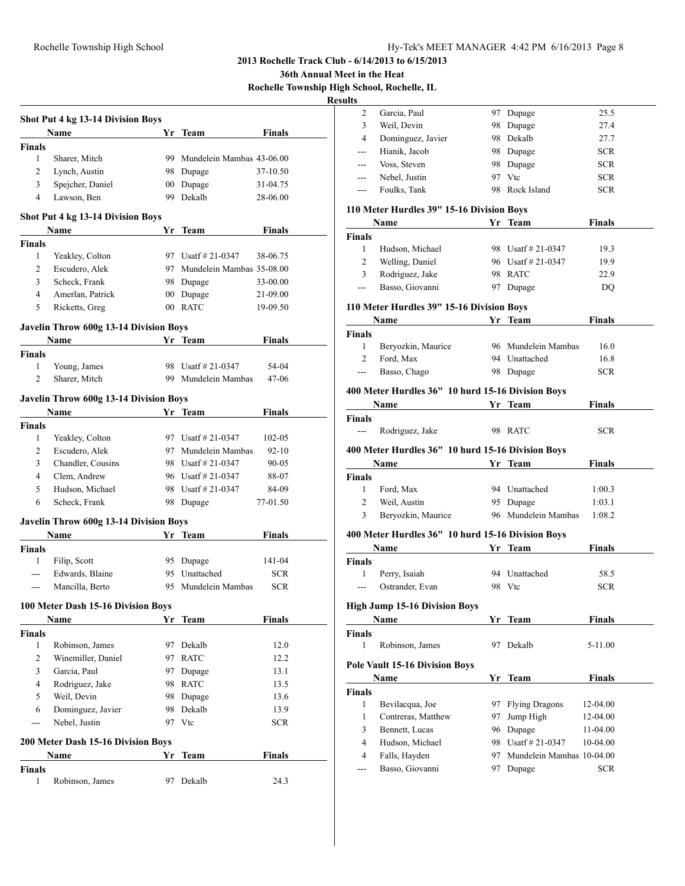**36th Annual Meet in the Heat**

**Rochelle Township High School, Rochelle, IL**

|                | <b>Shot Put 4 kg 13-14 Division Boys</b>              |    |                              |               |
|----------------|-------------------------------------------------------|----|------------------------------|---------------|
|                | <b>Name</b>                                           |    | Yr Team                      | Finals        |
| Finals<br>1    | Sharer, Mitch                                         | 99 | Mundelein Mambas 43-06.00    |               |
| 2              | Lynch, Austin                                         |    | 98 Dupage                    | 37-10.50      |
| 3              | Spejcher, Daniel                                      |    | 00 Dupage                    | 31-04.75      |
| $\overline{4}$ | Lawson, Ben                                           |    | 99 Dekalb                    | 28-06.00      |
|                |                                                       |    |                              |               |
|                | Shot Put 4 kg 13-14 Division Boys<br>Name             | Yr | Team                         | Finals        |
| <b>Finals</b>  |                                                       |    |                              |               |
| 1              | Yeakley, Colton                                       |    | 97 Usatf # 21-0347           | 38-06.75      |
| 2              | Escudero, Alek                                        |    | 97 Mundelein Mambas 35-08.00 |               |
| 3              | Scheck, Frank                                         |    | 98 Dupage                    | 33-00.00      |
| 4              | Amerlan, Patrick                                      |    | 00 Dupage                    | 21-09.00      |
| 5              | Ricketts, Greg                                        |    | 00 RATC                      | 19-09.50      |
|                | Javelin Throw 600g 13-14 Division Boys                |    |                              |               |
|                | Name                                                  |    | Yr Team                      | <b>Finals</b> |
| <b>Finals</b>  |                                                       |    |                              |               |
| 1              | Young, James                                          |    | 98 Usatf # 21-0347           | 54-04         |
| $\overline{2}$ | Sharer, Mitch                                         | 99 | Mundelein Mambas             | 47-06         |
|                | <b>Javelin Throw 600g 13-14 Division Boys</b>         |    |                              |               |
|                | Name                                                  |    | Yr Team                      | Finals        |
| <b>Finals</b>  |                                                       |    |                              |               |
| 1              | Yeakley, Colton                                       |    | 97 Usatf # 21-0347           | 102-05        |
| 2              | Escudero, Alek                                        |    | 97 Mundelein Mambas          | $92 - 10$     |
| 3              | Chandler, Cousins                                     |    | 98 Usatf # 21-0347           | 90-05         |
| $\overline{4}$ | Clem, Andrew                                          |    | 96 Usatf # 21-0347           | 88-07         |
| 5              | Hudson, Michael                                       |    | 98 Usatf # 21-0347           | 84-09         |
| 6              | Scheck, Frank                                         |    | 98 Dupage                    | 77-01.50      |
|                |                                                       |    |                              |               |
|                | <b>Javelin Throw 600g 13-14 Division Boys</b><br>Name |    | Yr Team                      | Finals        |
| <b>Finals</b>  |                                                       |    |                              |               |
| 1              | Filip, Scott                                          |    | 95 Dupage                    | 141-04        |
| ---            | Edwards, Blaine                                       |    | 95 Unattached                | <b>SCR</b>    |
| ---            | Mancilla, Berto                                       |    | 95 Mundelein Mambas          | <b>SCR</b>    |
|                |                                                       |    |                              |               |
|                | 100 Meter Dash 15-16 Division Boys<br>Name            | Yr | Team                         | <b>Finals</b> |
| <b>Finals</b>  |                                                       |    |                              |               |
| $\mathbf{1}$   | Robinson, James                                       | 97 | Dekalb                       | 12.0          |
| 2              | Winemiller, Daniel                                    | 97 | <b>RATC</b>                  | 12.2          |
| 3              | Garcia, Paul                                          | 97 | Dupage                       | 13.1          |
| 4              | Rodriguez, Jake                                       |    | 98 RATC                      | 13.5          |
| 5              | Weil, Devin                                           | 98 | Dupage                       | 13.6          |
| 6              | Dominguez, Javier                                     | 98 | Dekalb                       | 13.9          |
| ---            | Nebel, Justin                                         | 97 | Vtc                          | <b>SCR</b>    |
|                |                                                       |    |                              |               |
|                | 200 Meter Dash 15-16 Division Boys<br>Name            | Yr | Team                         | Finals        |
| Finals         |                                                       |    |                              |               |
| 1              | Robinson, James                                       | 97 | Dekalb                       | 24.3          |
|                |                                                       |    |                              |               |

| шшэ            |                                                                                                                                                                                                                               |    |                              |               |  |
|----------------|-------------------------------------------------------------------------------------------------------------------------------------------------------------------------------------------------------------------------------|----|------------------------------|---------------|--|
| 2              | Garcia, Paul                                                                                                                                                                                                                  |    | 97 Dupage                    | 25.5          |  |
| 3              | Weil, Devin                                                                                                                                                                                                                   |    | 98 Dupage                    | 27.4          |  |
| $\overline{4}$ | Dominguez, Javier                                                                                                                                                                                                             |    | 98 Dekalb                    | 27.7          |  |
| ---            | Hianik, Jacob                                                                                                                                                                                                                 |    | 98 Dupage                    | <b>SCR</b>    |  |
| ---            | Voss, Steven                                                                                                                                                                                                                  |    | 98 Dupage                    | <b>SCR</b>    |  |
| ---            | Nebel, Justin                                                                                                                                                                                                                 |    | 97 Vtc                       | <b>SCR</b>    |  |
| ---            | Foulks, Tank                                                                                                                                                                                                                  |    | 98 Rock Island               | <b>SCR</b>    |  |
|                |                                                                                                                                                                                                                               |    |                              |               |  |
|                | 110 Meter Hurdles 39" 15-16 Division Boys                                                                                                                                                                                     |    |                              |               |  |
|                | Name                                                                                                                                                                                                                          |    | Yr Team                      | <b>Finals</b> |  |
| Finals         |                                                                                                                                                                                                                               |    |                              |               |  |
| 1              | Hudson, Michael                                                                                                                                                                                                               |    | 98 Usatf # 21-0347           | 19.3          |  |
| 2<br>3         | Welling, Daniel                                                                                                                                                                                                               |    | 96 Usatf # 21-0347           | 19.9          |  |
| ---            | Rodriguez, Jake                                                                                                                                                                                                               |    | 98 RATC<br>97 Dupage         | 22.9          |  |
|                | Basso, Giovanni                                                                                                                                                                                                               |    |                              | DQ            |  |
|                | 110 Meter Hurdles 39" 15-16 Division Boys                                                                                                                                                                                     |    |                              |               |  |
|                | Name                                                                                                                                                                                                                          |    | Yr Team                      | <b>Finals</b> |  |
| Finals         |                                                                                                                                                                                                                               |    |                              |               |  |
| 1              | Beryozkin, Maurice                                                                                                                                                                                                            |    | 96 Mundelein Mambas          | 16.0          |  |
| 2              | Ford, Max                                                                                                                                                                                                                     |    | 94 Unattached                | 16.8          |  |
| ---            | Basso, Chago                                                                                                                                                                                                                  |    | 98 Dupage                    | <b>SCR</b>    |  |
|                | 400 Meter Hurdles 36" 10 hurd 15-16 Division Boys                                                                                                                                                                             |    |                              |               |  |
|                | Name and the same state of the state of the state of the state of the state of the state of the state of the state of the state of the state of the state of the state of the state of the state of the state of the state of |    | Yr Team                      | <b>Finals</b> |  |
| Finals         |                                                                                                                                                                                                                               |    |                              |               |  |
| $\overline{a}$ | Rodriguez, Jake                                                                                                                                                                                                               |    | 98 RATC                      | <b>SCR</b>    |  |
|                |                                                                                                                                                                                                                               |    |                              |               |  |
|                | 400 Meter Hurdles 36" 10 hurd 15-16 Division Boys                                                                                                                                                                             |    |                              |               |  |
|                | Name                                                                                                                                                                                                                          |    | Yr Team                      | <b>Finals</b> |  |
| Finals         |                                                                                                                                                                                                                               |    |                              |               |  |
| 1              | Ford, Max                                                                                                                                                                                                                     |    | 94 Unattached                | 1:00.3        |  |
| $\overline{c}$ | Weil, Austin                                                                                                                                                                                                                  |    | 95 Dupage                    | 1:03.1        |  |
| 3              | Beryozkin, Maurice                                                                                                                                                                                                            |    | 96 Mundelein Mambas          | 1:08.2        |  |
|                | 400 Meter Hurdles 36" 10 hurd 15-16 Division Boys                                                                                                                                                                             |    |                              |               |  |
|                | <b>Name</b>                                                                                                                                                                                                                   |    | Yr Team                      | <b>Finals</b> |  |
| Finals         |                                                                                                                                                                                                                               |    |                              |               |  |
| 1              | Perry, Isaiah                                                                                                                                                                                                                 |    | 94 Unattached                | 58.5          |  |
| $---$          | Ostrander, Evan                                                                                                                                                                                                               |    | 98 Vtc                       | <b>SCR</b>    |  |
|                | <b>High Jump 15-16 Division Boys</b>                                                                                                                                                                                          |    |                              |               |  |
|                |                                                                                                                                                                                                                               |    |                              |               |  |
|                | Name                                                                                                                                                                                                                          |    | Yr Team                      | <b>Finals</b> |  |
| Finals<br>1    |                                                                                                                                                                                                                               | 97 | Dekalb                       |               |  |
|                | Robinson, James                                                                                                                                                                                                               |    |                              | 5-11.00       |  |
|                | <b>Pole Vault 15-16 Division Boys</b>                                                                                                                                                                                         |    |                              |               |  |
|                | Name                                                                                                                                                                                                                          |    | Yr Team                      | <b>Finals</b> |  |
| Finals         |                                                                                                                                                                                                                               |    |                              |               |  |
| 1              | Bevilacqua, Joe                                                                                                                                                                                                               | 97 | <b>Flying Dragons</b>        | 12-04.00      |  |
| 1              | Contreras, Matthew                                                                                                                                                                                                            | 97 | Jump High                    | 12-04.00      |  |
| 3              | Bennett, Lucas                                                                                                                                                                                                                | 96 | Dupage                       | 11-04.00      |  |
| 4              | Hudson, Michael                                                                                                                                                                                                               |    | 98 Usatf # 21-0347           | 10-04.00      |  |
| $\overline{4}$ |                                                                                                                                                                                                                               |    |                              |               |  |
|                | Falls, Hayden                                                                                                                                                                                                                 |    | 97 Mundelein Mambas 10-04.00 |               |  |
| ---            | Basso, Giovanni                                                                                                                                                                                                               | 97 | Dupage                       | <b>SCR</b>    |  |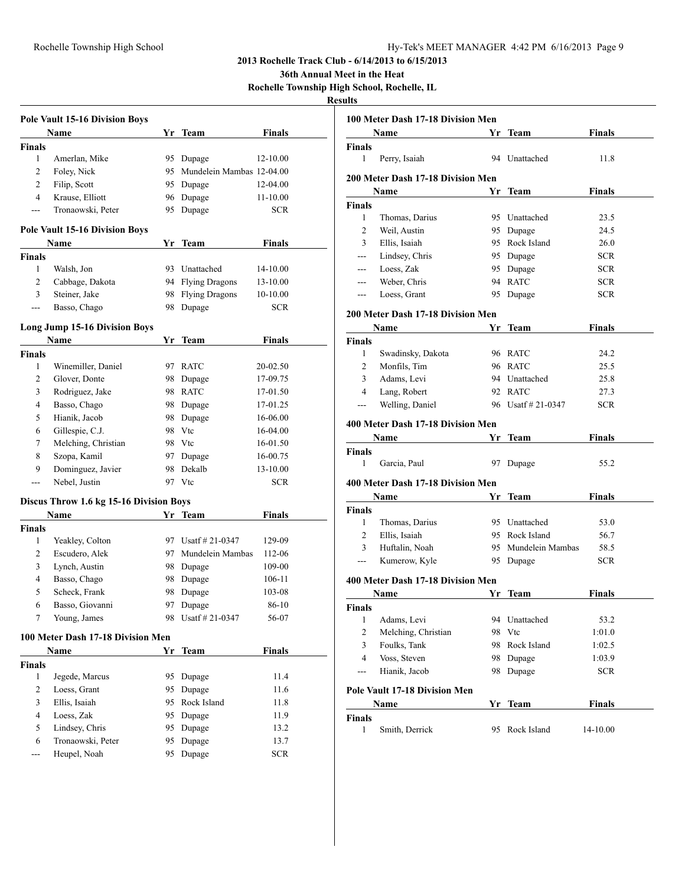**36th Annual Meet in the Heat**

**Rochelle Township High School, Rochelle, IL**

|               | <b>Pole Vault 15-16 Division Boys</b>   |          |                                 |                        |  |
|---------------|-----------------------------------------|----------|---------------------------------|------------------------|--|
|               | Name                                    |          | Yr Team                         | <b>Finals</b>          |  |
| <b>Finals</b> |                                         |          |                                 |                        |  |
| $\mathbf{1}$  | Amerlan, Mike                           |          | 95 Dupage                       | 12-10.00               |  |
| 2             | Foley, Nick                             | 95       | Mundelein Mambas 12-04.00       |                        |  |
| 2             | Filip, Scott                            |          | 95 Dupage                       | 12-04.00               |  |
| 4             | Krause, Elliott                         | 96       | Dupage                          | 11-10.00               |  |
| ---           | Tronaowski, Peter                       | 95       | Dupage                          | <b>SCR</b>             |  |
|               | <b>Pole Vault 15-16 Division Boys</b>   |          |                                 |                        |  |
|               | Name                                    | Yr       | <b>Team</b>                     | <b>Finals</b>          |  |
| <b>Finals</b> |                                         |          |                                 |                        |  |
| 1             | Walsh, Jon                              | 93       | Unattached                      | 14-10.00               |  |
| 2             | Cabbage, Dakota                         |          | 94 Flying Dragons               | 13-10.00               |  |
| 3             | Steiner, Jake                           |          |                                 |                        |  |
| ---           | Basso, Chago                            | 98<br>98 | <b>Flying Dragons</b><br>Dupage | 10-10.00<br><b>SCR</b> |  |
|               |                                         |          |                                 |                        |  |
|               | <b>Long Jump 15-16 Division Boys</b>    |          |                                 |                        |  |
|               | Name                                    | Yr       | Team                            | <b>Finals</b>          |  |
| <b>Finals</b> |                                         |          |                                 |                        |  |
| 1             | Winemiller, Daniel                      | 97       | <b>RATC</b>                     | 20-02.50               |  |
| 2             | Glover, Donte                           | 98       | Dupage                          | 17-09.75               |  |
| 3             | Rodriguez, Jake                         | 98       | <b>RATC</b>                     | 17-01.50               |  |
| 4             | Basso, Chago                            |          | 98 Dupage                       | 17-01.25               |  |
| 5             | Hianik, Jacob                           |          | 98 Dupage                       | 16-06.00               |  |
| 6             | Gillespie, C.J.                         |          | 98 Vtc                          | 16-04.00               |  |
| 7             | Melching, Christian                     |          | 98 Vtc                          | 16-01.50               |  |
| 8             | Szopa, Kamil                            |          | 97 Dupage                       | 16-00.75               |  |
| 9             | Dominguez, Javier                       | 98       | Dekalb                          | 13-10.00               |  |
| ---           | Nebel, Justin                           |          | 97 Vtc                          | <b>SCR</b>             |  |
|               |                                         |          |                                 |                        |  |
|               | Discus Throw 1.6 kg 15-16 Division Boys |          |                                 |                        |  |
|               | Name                                    |          | Yr Team                         | <b>Finals</b>          |  |
| <b>Finals</b> |                                         |          |                                 |                        |  |
| 1             | Yeakley, Colton                         |          | 97 Usatf # 21-0347              | 129-09                 |  |
| 2             | Escudero, Alek                          | 97       | Mundelein Mambas                | 112-06                 |  |
| 3             | Lynch, Austin                           |          | 98 Dupage                       | 109-00                 |  |
| 4             | Basso, Chago                            |          | 98 Dupage                       | 106-11                 |  |
| 5             | Scheck, Frank                           | 98.      | Dupage                          | 103-08                 |  |
| 6             | Basso, Giovanni                         | 97       | Dupage                          | 86-10                  |  |
| 7             | Young, James                            |          | 98 Usatf # 21-0347              | 56-07                  |  |
|               | 100 Meter Dash 17-18 Division Men       |          |                                 |                        |  |
|               | Name                                    | Yr       | <b>Team</b>                     | <b>Finals</b>          |  |
| <b>Finals</b> |                                         |          |                                 |                        |  |
| 1             | Jegede, Marcus                          |          | 95 Dupage                       | 11.4                   |  |
| 2             | Loess, Grant                            |          | 95 Dupage                       | 11.6                   |  |
| 3             | Ellis, Isaiah                           |          | 95 Rock Island                  | 11.8                   |  |
| 4             | Loess, Zak                              |          | 95 Dupage                       | 11.9                   |  |
| 5             | Lindsey, Chris                          | 95       | Dupage                          | 13.2                   |  |
| 6             | Tronaowski, Peter                       | 95       | Dupage                          | 13.7                   |  |
| ---           | Heupel, Noah                            | 95       | Dupage                          | SCR                    |  |
|               |                                         |          |                                 |                        |  |

| 100 Meter Dash 17-18 Division Men |                                      |    |                     |               |  |
|-----------------------------------|--------------------------------------|----|---------------------|---------------|--|
|                                   | Name                                 | Yr | Team                | <b>Finals</b> |  |
| Finals                            |                                      |    |                     |               |  |
| 1                                 | Perry, Isaiah                        | 94 | Unattached          | 11.8          |  |
|                                   | 200 Meter Dash 17-18 Division Men    |    |                     |               |  |
|                                   | Name                                 | Yr | Team                | <b>Finals</b> |  |
| Finals                            |                                      |    |                     |               |  |
| 1                                 | Thomas, Darius                       |    | 95 Unattached       | 23.5          |  |
| 2                                 | Weil, Austin                         |    | 95 Dupage           | 24.5          |  |
| 3                                 | Ellis, Isaiah                        |    | 95 Rock Island      | 26.0          |  |
| $---$                             | Lindsey, Chris                       |    | 95 Dupage           | <b>SCR</b>    |  |
| ---                               | Loess, Zak                           |    | 95 Dupage           | <b>SCR</b>    |  |
| ---                               | Weber, Chris                         |    | 94 RATC             | <b>SCR</b>    |  |
| ---                               | Loess, Grant                         | 95 | Dupage              | <b>SCR</b>    |  |
| 200 Meter Dash 17-18 Division Men |                                      |    |                     |               |  |
|                                   | Name                                 | Yr | <b>Team</b>         | <b>Finals</b> |  |
| Finals                            |                                      |    |                     |               |  |
| 1                                 | Swadinsky, Dakota                    |    | 96 RATC             | 24.2          |  |
| 2                                 | Monfils, Tim                         |    | 96 RATC             | 25.5          |  |
| 3                                 | Adams, Levi                          |    | 94 Unattached       | 25.8          |  |
| $\overline{4}$                    | Lang, Robert                         |    | 92 RATC             | 27.3          |  |
| ---                               | Welling, Daniel                      |    | 96 Usatf # 21-0347  | <b>SCR</b>    |  |
|                                   | 400 Meter Dash 17-18 Division Men    |    |                     |               |  |
|                                   | Name                                 | Yr | Team                | Finals        |  |
| Finals                            |                                      |    |                     |               |  |
| 1                                 | Garcia, Paul                         | 97 | Dupage              | 55.2          |  |
|                                   |                                      |    |                     |               |  |
|                                   | 400 Meter Dash 17-18 Division Men    |    |                     |               |  |
|                                   | Name                                 | Yr | Team                | Finals        |  |
| <b>Finals</b>                     |                                      |    |                     |               |  |
| 1                                 | Thomas, Darius                       |    | 95 Unattached       | 53.0          |  |
| 2                                 | Ellis, Isaiah                        |    | 95 Rock Island      | 56.7          |  |
| 3                                 | Huftalin, Noah                       |    | 95 Mundelein Mambas | 58.5          |  |
| ---                               | Kumerow, Kyle                        |    | 95 Dupage           | <b>SCR</b>    |  |
|                                   | 400 Meter Dash 17-18 Division Men    |    |                     |               |  |
|                                   | Name                                 | Yr | <b>Team</b>         | Finals        |  |
| Finals                            |                                      |    |                     |               |  |
| 1                                 | Adams, Levi                          |    | 94 Unattached       | 53.2          |  |
| 2                                 | Melching, Christian                  | 98 | Vtc                 | 1:01.0        |  |
| 3                                 | Foulks, Tank                         | 98 | Rock Island         | 1:02.5        |  |
| $\overline{4}$                    | Voss, Steven                         | 98 | Dupage              | 1:03.9        |  |
| $---$                             | Hianik, Jacob                        | 98 | Dupage              | <b>SCR</b>    |  |
|                                   | <b>Pole Vault 17-18 Division Men</b> |    |                     |               |  |
|                                   | Name                                 | Yr | <b>Team</b>         | <b>Finals</b> |  |
| Finals                            |                                      |    |                     |               |  |
| 1                                 | Smith, Derrick                       | 95 | Rock Island         | 14-10.00      |  |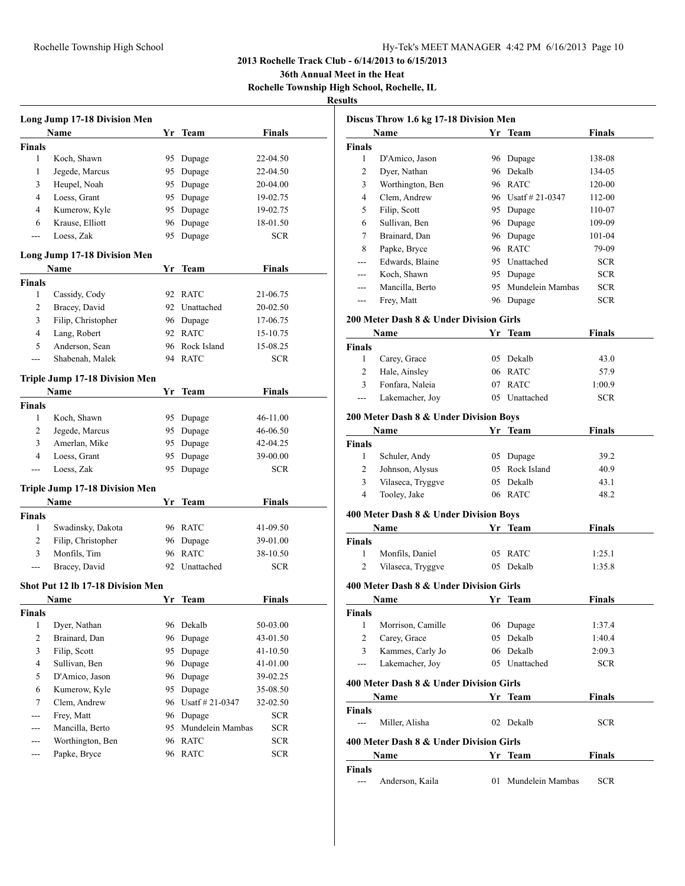**36th Annual Meet in the Heat**

**Rochelle Township High School, Rochelle, IL**

| Long Jump 17-18 Division Men |                                       |    |                  |               |  |
|------------------------------|---------------------------------------|----|------------------|---------------|--|
|                              | Name                                  |    | Yr Team          | <b>Finals</b> |  |
| Finals                       |                                       |    |                  |               |  |
| 1                            | Koch, Shawn                           | 95 | Dupage           | 22-04.50      |  |
| 1                            | Jegede, Marcus                        | 95 | Dupage           | 22-04.50      |  |
| 3                            | Heupel, Noah                          | 95 | Dupage           | 20-04.00      |  |
| 4                            | Loess, Grant                          | 95 | Dupage           | 19-02.75      |  |
| 4                            | Kumerow, Kyle                         | 95 | Dupage           | 19-02.75      |  |
| 6                            | Krause, Elliott                       | 96 | Dupage           | 18-01.50      |  |
| $---$                        | Loess, Zak                            | 95 | Dupage           | <b>SCR</b>    |  |
|                              | <b>Long Jump 17-18 Division Men</b>   |    |                  |               |  |
|                              | Name                                  |    | Yr Team          | Finals        |  |
| Finals                       |                                       |    |                  |               |  |
| 1                            | Cassidy, Cody                         |    | 92 RATC          | 21-06.75      |  |
| 2                            | Bracey, David                         | 92 | Unattached       | 20-02.50      |  |
| 3                            | Filip, Christopher                    |    | 96 Dupage        | 17-06.75      |  |
| 4                            | Lang, Robert                          |    | 92 RATC          | 15-10.75      |  |
| 5                            | Anderson, Sean                        | 96 | Rock Island      | 15-08.25      |  |
| ---                          | Shabenah, Malek                       |    | 94 RATC          | <b>SCR</b>    |  |
|                              |                                       |    |                  |               |  |
|                              | <b>Triple Jump 17-18 Division Men</b> |    |                  |               |  |
|                              | Name                                  |    | Yr Team          | <b>Finals</b> |  |
| <b>Finals</b>                |                                       |    |                  |               |  |
| 1                            | Koch, Shawn                           |    | 95 Dupage        | 46-11.00      |  |
| 2                            | Jegede, Marcus                        |    | 95 Dupage        | 46-06.50      |  |
| 3                            | Amerlan, Mike                         | 95 | Dupage           | 42-04.25      |  |
| $\overline{4}$               | Loess, Grant                          | 95 | Dupage           | 39-00.00      |  |
| $ -$                         | Loess, Zak                            | 95 | Dupage           | <b>SCR</b>    |  |
|                              | Triple Jump 17-18 Division Men        |    |                  |               |  |
|                              | Name                                  |    | Yr Team          | <b>Finals</b> |  |
| <b>Finals</b>                |                                       |    |                  |               |  |
| 1                            | Swadinsky, Dakota                     |    | 96 RATC          | 41-09.50      |  |
| 2                            | Filip, Christopher                    |    | 96 Dupage        | 39-01.00      |  |
| 3                            | Monfils, Tim                          |    | 96 RATC          | 38-10.50      |  |
| ---                          | Bracey, David                         | 92 | Unattached       | <b>SCR</b>    |  |
|                              |                                       |    |                  |               |  |
|                              | Shot Put 12 lb 17-18 Division Men     |    |                  |               |  |
|                              | Name                                  |    | Yr Team          | Finals        |  |
| <b>Finals</b>                |                                       |    |                  |               |  |
| 1                            | Dyer, Nathan                          | 96 | Dekalb           | 50-03.00      |  |
| 2                            | Brainard, Dan                         | 96 | Dupage           | 43-01.50      |  |
| 3                            | Filip, Scott                          | 95 | Dupage           | 41-10.50      |  |
| 4                            | Sullivan, Ben                         | 96 | Dupage           | 41-01.00      |  |
| 5                            | D'Amico, Jason                        | 96 | Dupage           | 39-02.25      |  |
| 6                            | Kumerow, Kyle                         | 95 | Dupage           | 35-08.50      |  |
| 7                            | Clem, Andrew                          | 96 | Usatf # 21-0347  | 32-02.50      |  |
|                              | Frey, Matt                            | 96 | Dupage           | <b>SCR</b>    |  |
| ---                          | Mancilla, Berto                       | 95 | Mundelein Mambas | <b>SCR</b>    |  |
| ---                          | Worthington, Ben                      | 96 | <b>RATC</b>      | <b>SCR</b>    |  |
|                              | Papke, Bryce                          | 96 | <b>RATC</b>      | <b>SCR</b>    |  |

|               | Discus Throw 1.6 kg 17-18 Division Men  |    |                     |               |
|---------------|-----------------------------------------|----|---------------------|---------------|
|               | Name                                    |    | Yr Team             | Finals        |
| <b>Finals</b> |                                         |    |                     |               |
| $\mathbf{1}$  | D'Amico, Jason                          | 96 | Dupage              | 138-08        |
| 2             | Dyer, Nathan                            |    | 96 Dekalb           | 134-05        |
| 3             | Worthington, Ben                        |    | 96 RATC             | 120-00        |
| 4             | Clem, Andrew                            |    | 96 Usatf # 21-0347  | 112-00        |
| 5             | Filip, Scott                            |    | 95 Dupage           | 110-07        |
| 6             | Sullivan, Ben                           |    | 96 Dupage           | 109-09        |
| 7             | Brainard, Dan                           |    | 96 Dupage           | 101-04        |
| 8             | Papke, Bryce                            |    | 96 RATC             | 79-09         |
| ---           | Edwards, Blaine                         |    | 95 Unattached       | <b>SCR</b>    |
| ---           | Koch, Shawn                             |    | 95 Dupage           | <b>SCR</b>    |
| ---           | Mancilla, Berto                         |    | 95 Mundelein Mambas | <b>SCR</b>    |
| ---           | Frey, Matt                              |    | 96 Dupage           | <b>SCR</b>    |
|               | 200 Meter Dash 8 & Under Division Girls |    |                     |               |
|               | Name                                    |    | Yr Team             | <b>Finals</b> |
| Finals        |                                         |    |                     |               |
| 1             | Carey, Grace                            | 05 | Dekalb              | 43.0          |
| 2             | Hale, Ainsley                           |    | 06 RATC             | 57.9          |
| 3             | Fonfara, Naleia                         | 07 | RATC                | 1:00.9        |
| ---           | Lakemacher, Joy                         | 05 | Unattached          | <b>SCR</b>    |
|               |                                         |    |                     |               |
|               | 200 Meter Dash 8 & Under Division Boys  |    |                     |               |
|               | Name                                    | Yr | Team                | Finals        |
| <b>Finals</b> |                                         |    |                     |               |
| 1             | Schuler, Andy                           |    | 05 Dupage           | 39.2          |
| 2             | Johnson, Alysus                         |    | 05 Rock Island      | 40.9          |
| 3             | Vilaseca, Tryggve                       | 05 | Dekalb              | 43.1          |
| 4             | Tooley, Jake                            |    | 06 RATC             | 48.2          |
|               | 400 Meter Dash 8 & Under Division Boys  |    |                     |               |
|               | Name                                    |    | Yr Team             | Finals        |
| Finals        |                                         |    |                     |               |
| 1             | Monfils, Daniel                         | 05 | RATC                | 1:25.1        |
| 2             | Vilaseca, Tryggve                       |    | 05 Dekalb           | 1:35.8        |
|               | 400 Meter Dash 8 & Under Division Girls |    |                     |               |
|               | Name                                    | Yr | Team                | Finals        |
| Finals        |                                         |    |                     |               |
| 1             | Morrison, Camille                       |    | 06 Dupage           | 1:37.4        |
| 2             | Carey, Grace                            | 05 | Dekalb              | 1:40.4        |
| 3             | Kammes, Carly Jo                        |    | 06 Dekalb           | 2:09.3        |
| ---           | Lakemacher, Joy                         |    | 05 Unattached       | <b>SCR</b>    |
|               |                                         |    |                     |               |
|               | 400 Meter Dash 8 & Under Division Girls |    |                     |               |
|               | Name                                    |    | Yr Team             | <b>Finals</b> |
| Finals        |                                         |    |                     |               |
| ---           | Miller, Alisha                          |    | 02 Dekalb           | <b>SCR</b>    |
|               | 400 Meter Dash 8 & Under Division Girls |    |                     |               |
|               | Name                                    |    | Yr Team             | <b>Finals</b> |
| Finals        |                                         |    |                     |               |
| ---           | Anderson, Kaila                         | 01 | Mundelein Mambas    | <b>SCR</b>    |
|               |                                         |    |                     |               |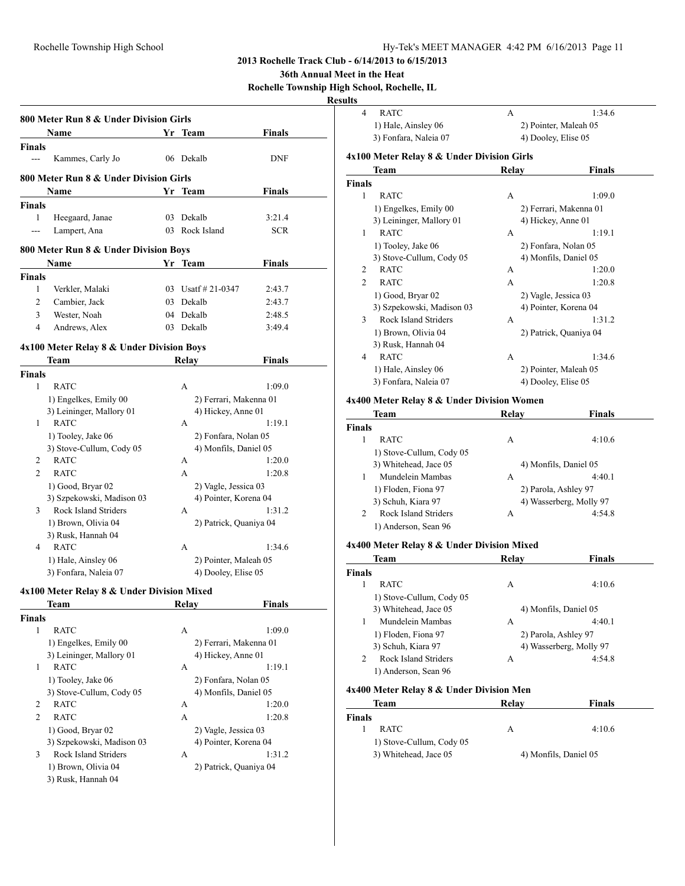**36th Annual Meet in the Heat**

**Rochelle Township High School, Rochelle, IL**

#### **Results**

|                        | 800 Meter Run 8 & Under Division Girls<br>Name | Yr Team                | Finals        |
|------------------------|------------------------------------------------|------------------------|---------------|
|                        |                                                |                        |               |
| <b>Finals</b><br>$---$ | Kammes, Carly Jo                               | 06 Dekalb              | <b>DNF</b>    |
|                        | 800 Meter Run 8 & Under Division Girls         |                        |               |
|                        | Name                                           | Yr Team                | <b>Finals</b> |
| Finals                 |                                                |                        |               |
| 1                      | Heegaard, Janae                                | 03 Dekalb              | 3:21.4        |
| ---                    | Lampert, Ana                                   | 03 Rock Island         | <b>SCR</b>    |
|                        | 800 Meter Run 8 & Under Division Boys          |                        |               |
|                        | Name                                           | Yr Team                | Finals        |
| <b>Finals</b>          |                                                |                        |               |
| 1                      | Verkler, Malaki                                | 03 Usatf $\#$ 21-0347  | 2:43.7        |
| 2                      | Cambier, Jack                                  | 03 Dekalb              | 2:43.7        |
| 3                      | Wester, Noah                                   | 04 Dekalb              | 2:48.5        |
| 4                      | Andrews, Alex                                  | 03 Dekalb              | 3:49.4        |
|                        | 4x100 Meter Relay 8 & Under Division Boys      |                        |               |
|                        | Team                                           | Relay                  | <b>Finals</b> |
| <b>Finals</b>          |                                                |                        |               |
| 1                      | <b>RATC</b>                                    | A                      | 1:09.0        |
|                        | 1) Engelkes, Emily 00                          | 2) Ferrari, Makenna 01 |               |
|                        | 3) Leininger, Mallory 01                       | 4) Hickey, Anne 01     |               |
| 1                      | <b>RATC</b>                                    | A                      | 1:19.1        |
|                        | 1) Tooley, Jake 06                             | 2) Fonfara, Nolan 05   |               |
|                        | 3) Stove-Cullum, Cody 05                       | 4) Monfils, Daniel 05  |               |
| 2                      | <b>RATC</b>                                    | A                      | 1:20.0        |
| $\overline{c}$         | <b>RATC</b>                                    | A                      | 1:20.8        |
|                        | 1) Good, Bryar 02                              | 2) Vagle, Jessica 03   |               |
|                        | 3) Szpekowski, Madison 03                      | 4) Pointer, Korena 04  |               |
| 3                      | Rock Island Striders                           | A                      | 1:31.2        |
|                        | 1) Brown, Olivia 04                            | 2) Patrick, Quaniya 04 |               |
|                        | 3) Rusk, Hannah 04                             |                        |               |
| 4                      | <b>RATC</b>                                    | A                      | 1:34.6        |
|                        | 1) Hale, Ainsley 06                            | 2) Pointer, Maleah 05  |               |
|                        | 3) Fonfara, Naleia 07                          | 4) Dooley, Elise 05    |               |
|                        | 4x100 Meter Relay 8 & Under Division Mixed     |                        |               |
|                        | <b>Team</b>                                    | Relay                  | <b>Finals</b> |
| <b>Finals</b>          |                                                |                        |               |
| 1                      | <b>RATC</b>                                    | A                      | 1:09.0        |
|                        | 1) Engelkes, Emily 00                          | 2) Ferrari, Makenna 01 |               |
|                        | 3) Leininger, Mallory 01                       | 4) Hickey, Anne 01     |               |
| 1                      | <b>RATC</b>                                    | A                      | 1:19.1        |
|                        | 1) Tooley, Jake 06                             | 2) Fonfara, Nolan 05   |               |
|                        | 3) Stove-Cullum, Cody 05                       | 4) Monfils, Daniel 05  |               |
| 2                      | <b>RATC</b>                                    | A                      | 1:20.0        |
| $\overline{2}$         | <b>RATC</b>                                    | A                      | 1:20.8        |
|                        | 1) Good, Bryar 02                              | 2) Vagle, Jessica 03   |               |
|                        | 3) Szpekowski, Madison 03                      | 4) Pointer, Korena 04  |               |
| 3                      | Rock Island Striders                           | A                      | 1:31.2        |
|                        | 1) Brown, Olivia 04                            | 2) Patrick, Quaniya 04 |               |
|                        | 3) Rusk, Hannah 04                             |                        |               |

| uns            |                                            |                     |                        |
|----------------|--------------------------------------------|---------------------|------------------------|
| $\overline{4}$ | <b>RATC</b>                                | A                   | 1:34.6                 |
|                | 1) Hale, Ainsley 06                        |                     | 2) Pointer, Maleah 05  |
|                | 3) Fonfara, Naleia 07                      | 4) Dooley, Elise 05 |                        |
|                | 4x100 Meter Relay 8 & Under Division Girls |                     |                        |
|                | Team                                       | Relay               | Finals                 |
| <b>Finals</b>  |                                            |                     |                        |
| 1              | <b>RATC</b>                                | A                   | 1:09.0                 |
|                | 1) Engelkes, Emily 00                      |                     | 2) Ferrari, Makenna 01 |
|                | 3) Leininger, Mallory 01                   |                     | 4) Hickey, Anne 01     |
| 1              | <b>RATC</b>                                | A                   | 1:19.1                 |
|                | 1) Tooley, Jake 06                         |                     | 2) Fonfara, Nolan 05   |
|                | 3) Stove-Cullum, Cody 05                   |                     | 4) Monfils, Daniel 05  |
| 2              | <b>RATC</b>                                | A                   | 1:20.0                 |
| $\overline{c}$ | <b>RATC</b>                                | A                   | 1:20.8                 |
|                | 1) Good, Bryar 02                          |                     | 2) Vagle, Jessica 03   |
|                | 3) Szpekowski, Madison 03                  |                     | 4) Pointer, Korena 04  |
| 3              | Rock Island Striders                       | A                   | 1:31.2                 |
|                | 1) Brown, Olivia 04                        |                     | 2) Patrick, Quaniya 04 |
|                | 3) Rusk, Hannah 04                         |                     |                        |
| $\overline{4}$ | <b>RATC</b>                                | A                   | 1:34.6                 |
|                | 1) Hale, Ainsley 06                        |                     | 2) Pointer, Maleah 05  |
|                | 3) Fonfara, Naleia 07                      |                     | 4) Dooley, Elise 05    |
|                | 4x400 Meter Relay 8 & Under Division Women |                     |                        |

|               | Team                     | Relav | <b>Finals</b>           |
|---------------|--------------------------|-------|-------------------------|
| <b>Finals</b> |                          |       |                         |
|               | <b>RATC</b>              | A     | 4:10.6                  |
|               | 1) Stove-Cullum, Cody 05 |       |                         |
|               | 3) Whitehead, Jace 05    |       | 4) Monfils, Daniel 05   |
| 1             | Mundelein Mambas         | А     | 4:40.1                  |
|               | 1) Floden, Fiona 97      |       | 2) Parola, Ashley 97    |
|               | 3) Schuh, Kiara 97       |       | 4) Wasserberg, Molly 97 |
| 2             | Rock Island Striders     | A     | 4:54.8                  |
|               | 1) Anderson, Sean 96     |       |                         |

#### **4x400 Meter Relay 8 & Under Division Mixed**

| Team                      | Relav | Finals                  |
|---------------------------|-------|-------------------------|
| <b>Finals</b>             |       |                         |
| <b>RATC</b>               | А     | 4:10.6                  |
| 1) Stove-Cullum, Cody 05  |       |                         |
| 3) Whitehead, Jace 05     |       | 4) Monfils, Daniel 05   |
| Mundelein Mambas          | А     | 4:40.1                  |
| 1) Floden, Fiona 97       |       | 2) Parola, Ashley 97    |
| 3) Schuh, Kiara 97        |       | 4) Wasserberg, Molly 97 |
| Rock Island Striders<br>2 | A     | 4:54.8                  |
| 1) Anderson, Sean 96      |       |                         |

### **4x400 Meter Relay 8 & Under Division Men**

| Team                                              | Relay | <b>Finals</b>         |
|---------------------------------------------------|-------|-----------------------|
| <b>Finals</b>                                     |       |                       |
| <b>RATC</b>                                       | А     | 4:10.6                |
| 1) Stove-Cullum, Cody 05<br>3) Whitehead, Jace 05 |       | 4) Monfils, Daniel 05 |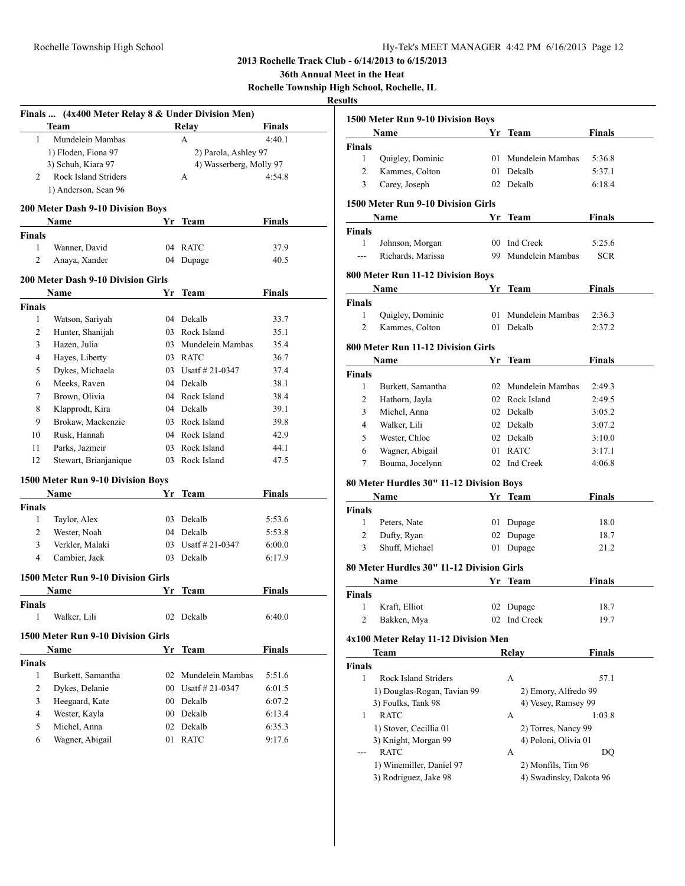**36th Annual Meet in the Heat**

**Rochelle Township High School, Rochelle, IL**

|                | Finals  (4x400 Meter Relay 8 & Under Division Men) |        |                         |               |
|----------------|----------------------------------------------------|--------|-------------------------|---------------|
|                | Team                                               |        | Relay                   | <b>Finals</b> |
| 1              | Mundelein Mambas                                   |        | A                       | 4:40.1        |
|                | 1) Floden, Fiona 97                                |        | 2) Parola, Ashley 97    |               |
|                | 3) Schuh, Kiara 97                                 |        | 4) Wasserberg, Molly 97 |               |
| 2              | Rock Island Striders                               |        | A                       | 4:54.8        |
|                | 1) Anderson, Sean 96                               |        |                         |               |
|                | 200 Meter Dash 9-10 Division Boys                  |        |                         |               |
|                | Name                                               |        | Yr Team                 | <b>Finals</b> |
| <b>Finals</b>  |                                                    |        |                         |               |
| 1              | Wanner, David                                      |        | 04 RATC                 | 37.9          |
| 2              | Anaya, Xander                                      | 04     | Dupage                  | 40.5          |
|                | <b>200 Meter Dash 9-10 Division Girls</b>          |        |                         |               |
|                | Name                                               | Yr     | Team                    | <b>Finals</b> |
| <b>Finals</b>  |                                                    |        |                         |               |
| 1              | Watson, Sariyah                                    |        | 04 Dekalb               | 33.7          |
| $\overline{c}$ | Hunter, Shanijah                                   |        | 03 Rock Island          | 35.1          |
| 3              | Hazen, Julia                                       |        | 03 Mundelein Mambas     | 35.4          |
| 4              | Hayes, Liberty                                     |        | 03 RATC                 | 36.7          |
| 5              | Dykes, Michaela                                    |        | 03 Usatf # 21-0347      | 37.4          |
| 6              | Meeks, Raven                                       |        | 04 Dekalb               | 38.1          |
| 7              | Brown, Olivia                                      |        | 04 Rock Island          | 38.4          |
| 8              | Klapprodt, Kira                                    |        | 04 Dekalb               | 39.1          |
| 9              | Brokaw, Mackenzie                                  |        | 03 Rock Island          | 39.8          |
| 10             | Rusk, Hannah                                       |        | 04 Rock Island          | 42.9          |
| 11             | Parks, Jazmeir                                     |        | 03 Rock Island          | 44.1          |
| 12             | Stewart, Brianjanique                              |        | 03 Rock Island          | 47.5          |
|                |                                                    |        |                         |               |
|                | 1500 Meter Run 9-10 Division Boys                  |        |                         |               |
|                | Name                                               | Yr     | <b>Team</b>             | Finals        |
| Finals         |                                                    |        |                         |               |
| 1              | Taylor, Alex                                       |        | 03 Dekalb               | 5:53.6        |
| 2              | Wester, Noah                                       |        | 04 Dekalb               | 5:53.8        |
| 3              | Verkler, Malaki                                    |        | 03 Usatf # 21-0347      | 6:00.0        |
| 4              | Cambier, Jack                                      | 03     | Dekalb                  | 6:17.9        |
|                | 1500 Meter Run 9-10 Division Girls                 |        |                         |               |
|                | Name                                               |        | Yr Team                 | <b>Finals</b> |
| <b>Finals</b>  |                                                    |        |                         |               |
| 1              | Walker, Lili                                       | 02     | Dekalb                  | 6:40.0        |
|                |                                                    |        |                         |               |
|                | 1500 Meter Run 9-10 Division Girls                 |        |                         |               |
|                | Name                                               | Yr     | <b>Team</b>             | <b>Finals</b> |
| <b>Finals</b>  |                                                    |        |                         |               |
| 1              | Burkett, Samantha                                  | 02     | Mundelein Mambas        | 5:51.6        |
| 2              | Dykes, Delanie                                     | $00\,$ | Usatf # 21-0347         | 6:01.5        |
| 3              | Heegaard, Kate                                     |        | 00 Dekalb               | 6:07.2        |
| 4              | Wester, Kayla                                      | $00\,$ | Dekalb                  | 6:13.4        |
| 5              | Michel, Anna                                       | 02     | Dekalb                  | 6:35.3        |
| 6              | Wagner, Abigail                                    | 01     | <b>RATC</b>             | 9:17.6        |
|                |                                                    |        |                         |               |

| lits           |                                           |    |                         |               |
|----------------|-------------------------------------------|----|-------------------------|---------------|
|                | 1500 Meter Run 9-10 Division Boys         |    |                         |               |
|                | Name                                      | Yr | <b>Team</b>             | <b>Finals</b> |
| <b>Finals</b>  |                                           |    |                         |               |
| 1              | Quigley, Dominic                          |    | 01 Mundelein Mambas     | 5:36.8        |
| 2              | Kammes, Colton                            |    | 01 Dekalb               | 5:37.1        |
| 3              | Carey, Joseph                             | 02 | Dekalb                  | 6:18.4        |
|                | 1500 Meter Run 9-10 Division Girls        |    |                         |               |
|                | Name                                      |    | Yr Team                 | Finals        |
| <b>Finals</b>  |                                           |    |                         |               |
| 1              | Johnson, Morgan                           |    | 00 Ind Creek            | 5:25.6        |
| ---            | Richards, Marissa                         | 99 | Mundelein Mambas        | SCR           |
|                | 800 Meter Run 11-12 Division Boys         |    |                         |               |
|                | Name                                      | Yr | Team                    | Finals        |
| <b>Finals</b>  |                                           |    |                         |               |
| 1              | Quigley, Dominic                          | 01 | Mundelein Mambas        | 2:36.3        |
| 2              | Kammes, Colton                            | 01 | Dekalb                  | 2:37.2        |
|                |                                           |    |                         |               |
|                | 800 Meter Run 11-12 Division Girls        |    |                         |               |
|                | Name                                      | Yr | Team                    | <b>Finals</b> |
| <b>Finals</b>  |                                           |    |                         |               |
| 1              | Burkett, Samantha                         |    | 02 Mundelein Mambas     | 2:49.3        |
| $\overline{c}$ | Hathorn, Jayla                            |    | 02 Rock Island          | 2:49.5        |
| 3              | Michel, Anna                              |    | 02 Dekalb               | 3:05.2        |
| 4              | Walker, Lili                              |    | 02 Dekalb               | 3:07.2        |
| 5              | Wester, Chloe                             |    | 02 Dekalb               | 3:10.0        |
| 6              | Wagner, Abigail                           | 01 | <b>RATC</b>             | 3:17.1        |
| 7              | Bouma, Jocelynn                           | 02 | Ind Creek               | 4:06.8        |
|                | 80 Meter Hurdles 30" 11-12 Division Boys  |    |                         |               |
|                | Name                                      |    | Yr Team                 | Finals        |
| Finals         |                                           |    |                         |               |
| 1              | Peters, Nate                              |    | 01 Dupage               | 18.0          |
| 2              | Dufty, Ryan                               |    | 02 Dupage               | 18.7          |
| 3              | Shuff, Michael                            | 01 | Dupage                  | 21.2          |
|                | 80 Meter Hurdles 30" 11-12 Division Girls |    |                         |               |
|                | Name                                      | Yr | Team                    | <b>Finals</b> |
| Finals         |                                           |    |                         |               |
| 1              | Kraft, Elliot                             | 02 | Dupage                  | 18.7          |
| 2              | Bakken, Mya                               | 02 | Ind Creek               | 19.7          |
|                | 4x100 Meter Relay 11-12 Division Men      |    |                         |               |
|                | Team                                      |    | Relay                   | <b>Finals</b> |
| <b>Finals</b>  |                                           |    |                         |               |
| 1              | <b>Rock Island Striders</b>               |    | А                       | 57.1          |
|                | 1) Douglas-Rogan, Tavian 99               |    | 2) Emory, Alfredo 99    |               |
|                | 3) Foulks, Tank 98                        |    | 4) Vesey, Ramsey 99     |               |
| 1              | <b>RATC</b>                               |    | A                       | 1:03.8        |
|                | 1) Stover, Cecillia 01                    |    | 2) Torres, Nancy 99     |               |
|                | 3) Knight, Morgan 99                      |    | 4) Poloni, Olivia 01    |               |
|                | <b>RATC</b>                               |    | A                       | DQ            |
|                | 1) Winemiller, Daniel 97                  |    | 2) Monfils, Tim 96      |               |
|                | 3) Rodriguez, Jake 98                     |    | 4) Swadinsky, Dakota 96 |               |
|                |                                           |    |                         |               |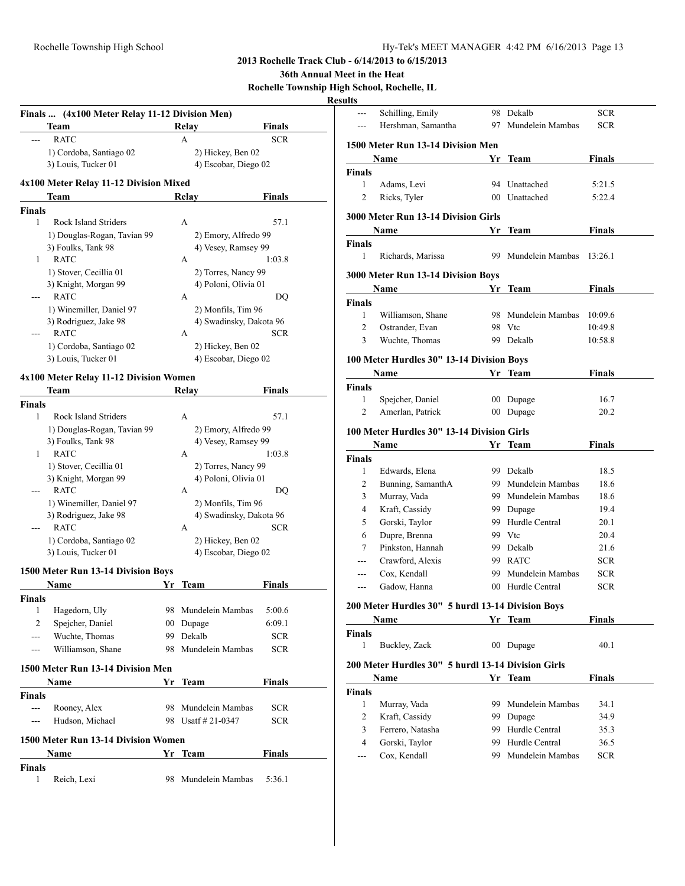#### **36th Annual Meet in the Heat**

**Rochelle Township High School, Rochelle, IL**

## **Result**

|               | Team                                           |    | Relay                                     | <b>Finals</b> |
|---------------|------------------------------------------------|----|-------------------------------------------|---------------|
| ---           | <b>RATC</b>                                    |    | А                                         | SCR           |
|               | 1) Cordoba, Santiago 02                        |    | 2) Hickey, Ben 02                         |               |
|               | 3) Louis, Tucker 01                            |    | 4) Escobar, Diego 02                      |               |
|               | 4x100 Meter Relay 11-12 Division Mixed         |    |                                           |               |
|               | Team                                           |    | Relay                                     | Finals        |
| <b>Finals</b> |                                                |    |                                           |               |
| 1             | Rock Island Striders                           |    | A                                         | 57.1          |
|               | 1) Douglas-Rogan, Tavian 99                    |    | 2) Emory, Alfredo 99                      |               |
|               | 3) Foulks, Tank 98                             |    | 4) Vesey, Ramsey 99                       |               |
| 1             | <b>RATC</b>                                    |    | А                                         | 1:03.8        |
|               | 1) Stover, Cecillia 01                         |    | 2) Torres, Nancy 99                       |               |
|               | 3) Knight, Morgan 99<br><b>RATC</b>            |    | 4) Poloni, Olivia 01                      |               |
|               |                                                |    | А                                         | DQ            |
|               | 1) Winemiller, Daniel 97                       |    | 2) Monfils, Tim 96                        |               |
|               | 3) Rodriguez, Jake 98<br><b>RATC</b>           |    | 4) Swadinsky, Dakota 96<br>A              | SCR           |
|               |                                                |    |                                           |               |
|               | 1) Cordoba, Santiago 02<br>3) Louis, Tucker 01 |    | 2) Hickey, Ben 02<br>4) Escobar, Diego 02 |               |
|               |                                                |    |                                           |               |
|               | 4x100 Meter Relay 11-12 Division Women         |    |                                           |               |
|               | Team                                           |    | Relav                                     | Finals        |
| <b>Finals</b> |                                                |    |                                           |               |
| 1             | Rock Island Striders                           |    | A                                         | 57.1          |
|               | 1) Douglas-Rogan, Tavian 99                    |    | 2) Emory, Alfredo 99                      |               |
|               | 3) Foulks, Tank 98                             |    | 4) Vesey, Ramsey 99                       |               |
| 1             | <b>RATC</b>                                    |    | А                                         | 1:03.8        |
|               | 1) Stover, Cecillia 01                         |    | 2) Torres, Nancy 99                       |               |
|               | 3) Knight, Morgan 99                           |    | 4) Poloni, Olivia 01                      |               |
| ---           | <b>RATC</b>                                    |    | A                                         | DQ            |
|               | 1) Winemiller, Daniel 97                       |    | 2) Monfils, Tim 96                        |               |
|               | 3) Rodriguez, Jake 98                          |    | 4) Swadinsky, Dakota 96                   |               |
| ---           | <b>RATC</b>                                    |    | A                                         | <b>SCR</b>    |
|               | 1) Cordoba, Santiago 02                        |    | 2) Hickey, Ben 02                         |               |
|               | 3) Louis, Tucker 01                            |    | 4) Escobar, Diego 02                      |               |
|               | 1500 Meter Run 13-14 Division Boys             |    |                                           |               |
|               | Name                                           | Yr | Team                                      | Finals        |
| Finals        |                                                |    |                                           |               |
| 1             | Hagedorn, Uly                                  | 98 | Mundelein Mambas                          | 5:00.6        |
| 2             | Spejcher, Daniel                               | 00 | Dupage                                    | 6:09.1        |
| ---           | Wuchte, Thomas                                 | 99 | Dekalb                                    | <b>SCR</b>    |
| ---           | Williamson, Shane                              | 98 | Mundelein Mambas                          | <b>SCR</b>    |
|               | 1500 Meter Run 13-14 Division Men              |    |                                           |               |
|               | Name                                           | Yr | Team                                      | Finals        |
| Finals        |                                                |    |                                           |               |
| $\sim$        | Rooney, Alex                                   | 98 | Mundelein Mambas                          | SCR           |
| $- - -$       | Hudson, Michael                                |    | 98 Usatf # 21-0347                        | <b>SCR</b>    |
|               | 1500 Meter Run 13-14 Division Women            |    |                                           |               |
|               |                                                |    |                                           | <b>Finals</b> |
| <b>Finals</b> | Name                                           |    | Yr Team                                   |               |
|               |                                                |    |                                           |               |
|               |                                                |    |                                           |               |
| 1             | Reich, Lexi                                    | 98 | Mundelein Mambas                          | 5:36.1        |

| ults                          |                                                           |                 |                                  |               |
|-------------------------------|-----------------------------------------------------------|-----------------|----------------------------------|---------------|
| ---                           | Schilling, Emily                                          |                 | 98 Dekalb                        | SCR           |
|                               | Hershman, Samantha                                        | 97              | Mundelein Mambas                 | <b>SCR</b>    |
|                               | 1500 Meter Run 13-14 Division Men                         |                 |                                  |               |
|                               | Name                                                      |                 | Yr Team                          | <b>Finals</b> |
| <b>Finals</b>                 |                                                           |                 |                                  |               |
| 1                             | Adams, Levi                                               |                 | 94 Unattached                    | 5:21.5        |
| $\overline{c}$                | Ricks, Tyler                                              |                 | 00 Unattached                    | 5:22.4        |
|                               | 3000 Meter Run 13-14 Division Girls                       |                 |                                  |               |
|                               | Name                                                      | Yr              | Team                             | Finals        |
| <b>Finals</b>                 |                                                           |                 |                                  |               |
| 1                             | Richards, Marissa                                         | 99.             | Mundelein Mambas                 | 13:26.1       |
|                               | 3000 Meter Run 13-14 Division Boys                        |                 |                                  |               |
|                               | Name                                                      | Yr              | <b>Team</b>                      | <b>Finals</b> |
| <b>Finals</b>                 |                                                           |                 |                                  |               |
| 1                             | Williamson, Shane                                         |                 | 98 Mundelein Mambas              | 10:09.6       |
| 2                             | Ostrander, Evan                                           |                 | 98 Vtc                           | 10:49.8       |
| 3                             | Wuchte, Thomas                                            |                 | 99 Dekalb                        | 10:58.8       |
|                               | 100 Meter Hurdles 30" 13-14 Division Boys                 |                 |                                  |               |
|                               | Name                                                      |                 | Yr Team                          | <b>Finals</b> |
| <b>Finals</b>                 |                                                           |                 |                                  |               |
| 1                             | Spejcher, Daniel                                          | 00 <sup>1</sup> | Dupage                           | 16.7          |
| 2                             | Amerlan, Patrick                                          | 00 <sup>°</sup> | Dupage                           | 20.2          |
|                               | 100 Meter Hurdles 30" 13-14 Division Girls                |                 |                                  |               |
|                               |                                                           |                 |                                  |               |
|                               | Name                                                      | Yr              | Team                             | Finals        |
| <b>Finals</b>                 |                                                           |                 |                                  |               |
| 1<br>2                        | Edwards, Elena                                            |                 | 99 Dekalb<br>99 Mundelein Mambas | 18.5<br>18.6  |
|                               | Bunning, SamanthA                                         |                 |                                  |               |
| 3                             | Murray, Vada                                              |                 | 99 Mundelein Mambas              | 18.6          |
| 4                             | Kraft, Cassidy                                            |                 | 99 Dupage                        | 19.4          |
| 5                             | Gorski, Taylor                                            |                 | 99 Hurdle Central                | 20.1          |
| 6                             | Dupre, Brenna                                             |                 | 99 Vtc                           | 20.4          |
| 7                             | Pinkston, Hannah                                          |                 | 99 Dekalb                        | 21.6          |
| ---                           | Crawford, Alexis                                          |                 | 99 RATC<br>99 Mundelein Mambas   | <b>SCR</b>    |
| ---                           | Cox, Kendall<br>Gadow, Hanna                              |                 | 00 Hurdle Central                | SCR<br>SCR    |
|                               |                                                           |                 |                                  |               |
|                               | 200 Meter Hurdles 30" 5 hurdl 13-14 Division Boys<br>Name |                 | Yr Team                          | <b>Finals</b> |
|                               |                                                           |                 |                                  |               |
| <b>Finals</b><br>$\mathbf{1}$ | Buckley, Zack                                             |                 | 00 Dupage                        | 40.1          |
|                               | 200 Meter Hurdles 30" 5 hurdl 13-14 Division Girls        |                 |                                  |               |
|                               | Name                                                      |                 | Yr Team                          | Finals        |
| <b>Finals</b>                 |                                                           |                 |                                  |               |
| $\mathbf{1}$                  | Murray, Vada                                              | 99.             | Mundelein Mambas                 | 34.1          |
| 2                             | Kraft, Cassidy                                            | 99              | Dupage                           | 34.9          |
| 3                             | Ferrero, Natasha                                          | 99.             | Hurdle Central                   | 35.3          |
| $\overline{4}$                | Gorski, Taylor                                            | 99.             | Hurdle Central                   | 36.5          |
| ---                           | Cox, Kendall                                              | 99.             | Mundelein Mambas                 | SCR           |
|                               |                                                           |                 |                                  |               |
|                               |                                                           |                 |                                  |               |
|                               |                                                           |                 |                                  |               |